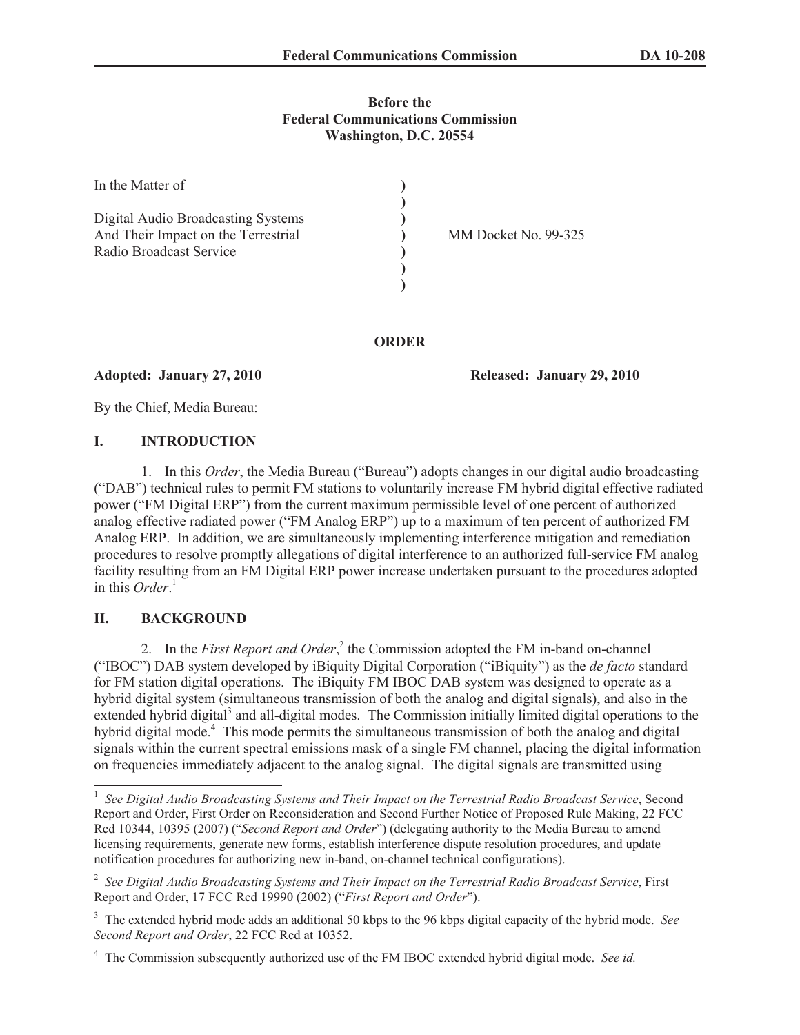### **Before the Federal Communications Commission Washington, D.C. 20554**

| In the Matter of                                                                                     |                      |
|------------------------------------------------------------------------------------------------------|----------------------|
| Digital Audio Broadcasting Systems<br>And Their Impact on the Terrestrial<br>Radio Broadcast Service | MM Docket No. 99-325 |

**ORDER**

**Adopted: January 27, 2010 Released: January 29, 2010**

By the Chief, Media Bureau:

## **I. INTRODUCTION**

1. In this *Order*, the Media Bureau ("Bureau") adopts changes in our digital audio broadcasting ("DAB") technical rules to permit FM stations to voluntarily increase FM hybrid digital effective radiated power ("FM Digital ERP") from the current maximum permissible level of one percent of authorized analog effective radiated power ("FM Analog ERP") up to a maximum of ten percent of authorized FM Analog ERP. In addition, we are simultaneously implementing interference mitigation and remediation procedures to resolve promptly allegations of digital interference to an authorized full-service FM analog facility resulting from an FM Digital ERP power increase undertaken pursuant to the procedures adopted in this *Order*. 1

## **II. BACKGROUND**

2. In the *First Report and Order*,<sup>2</sup> the Commission adopted the FM in-band on-channel ("IBOC") DAB system developed by iBiquity Digital Corporation ("iBiquity") as the *de facto* standard for FM station digital operations. The iBiquity FM IBOC DAB system was designed to operate as a hybrid digital system (simultaneous transmission of both the analog and digital signals), and also in the extended hybrid digital<sup>3</sup> and all-digital modes. The Commission initially limited digital operations to the hybrid digital mode.<sup>4</sup> This mode permits the simultaneous transmission of both the analog and digital signals within the current spectral emissions mask of a single FM channel, placing the digital information on frequencies immediately adjacent to the analog signal. The digital signals are transmitted using

<sup>&</sup>lt;sup>1</sup> See Digital Audio Broadcasting Systems and Their Impact on the Terrestrial Radio Broadcast Service, Second Report and Order, First Order on Reconsideration and Second Further Notice of Proposed Rule Making, 22 FCC Rcd 10344, 10395 (2007) ("*Second Report and Order*") (delegating authority to the Media Bureau to amend licensing requirements, generate new forms, establish interference dispute resolution procedures, and update notification procedures for authorizing new in-band, on-channel technical configurations).

<sup>2</sup> *See Digital Audio Broadcasting Systems and Their Impact on the Terrestrial Radio Broadcast Service*, First Report and Order, 17 FCC Rcd 19990 (2002) ("*First Report and Order*").

<sup>3</sup> The extended hybrid mode adds an additional 50 kbps to the 96 kbps digital capacity of the hybrid mode. *See Second Report and Order*, 22 FCC Rcd at 10352.

<sup>4</sup> The Commission subsequently authorized use of the FM IBOC extended hybrid digital mode. *See id.*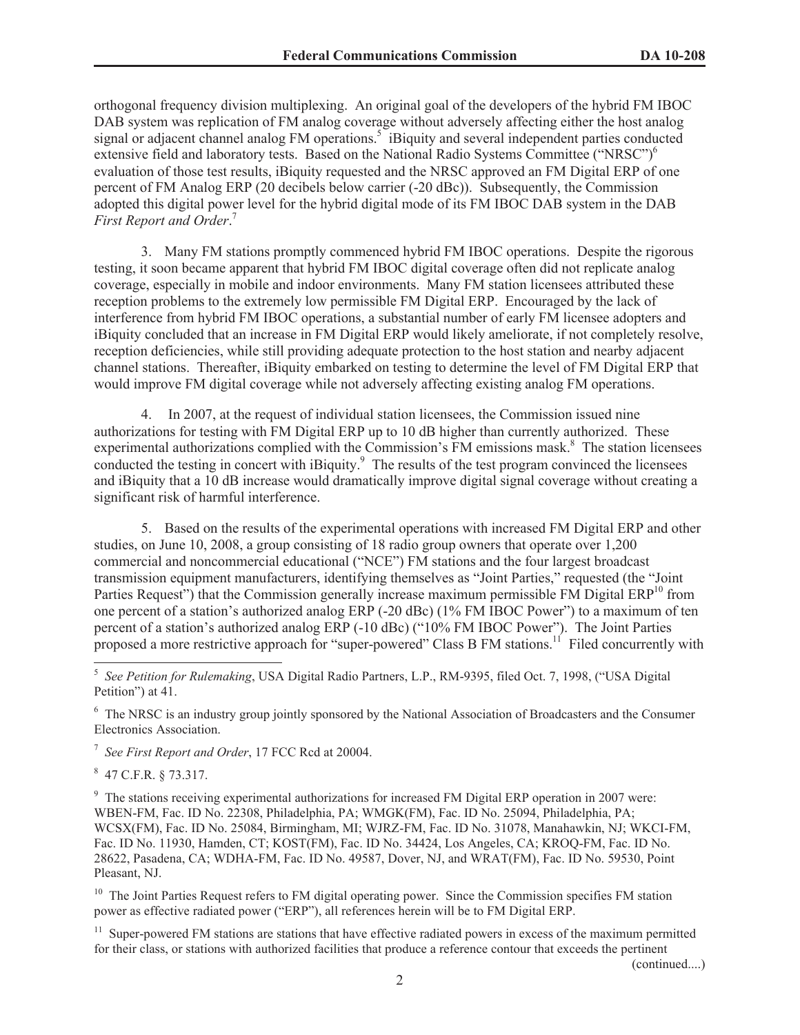orthogonal frequency division multiplexing. An original goal of the developers of the hybrid FM IBOC DAB system was replication of FM analog coverage without adversely affecting either the host analog signal or adjacent channel analog FM operations.<sup>5</sup> iBiquity and several independent parties conducted extensive field and laboratory tests. Based on the National Radio Systems Committee ("NRSC")<sup>6</sup> evaluation of those test results, iBiquity requested and the NRSC approved an FM Digital ERP of one percent of FM Analog ERP (20 decibels below carrier (-20 dBc)). Subsequently, the Commission adopted this digital power level for the hybrid digital mode of its FM IBOC DAB system in the DAB *First Report and Order*. 7

3. Many FM stations promptly commenced hybrid FM IBOC operations. Despite the rigorous testing, it soon became apparent that hybrid FM IBOC digital coverage often did not replicate analog coverage, especially in mobile and indoor environments. Many FM station licensees attributed these reception problems to the extremely low permissible FM Digital ERP. Encouraged by the lack of interference from hybrid FM IBOC operations, a substantial number of early FM licensee adopters and iBiquity concluded that an increase in FM Digital ERP would likely ameliorate, if not completely resolve, reception deficiencies, while still providing adequate protection to the host station and nearby adjacent channel stations. Thereafter, iBiquity embarked on testing to determine the level of FM Digital ERP that would improve FM digital coverage while not adversely affecting existing analog FM operations.

4. In 2007, at the request of individual station licensees, the Commission issued nine authorizations for testing with FM Digital ERP up to 10 dB higher than currently authorized. These experimental authorizations complied with the Commission's FM emissions mask.<sup>8</sup> The station licensees conducted the testing in concert with iBiquity.<sup>9</sup> The results of the test program convinced the licensees and iBiquity that a 10 dB increase would dramatically improve digital signal coverage without creating a significant risk of harmful interference.

5. Based on the results of the experimental operations with increased FM Digital ERP and other studies, on June 10, 2008, a group consisting of 18 radio group owners that operate over 1,200 commercial and noncommercial educational ("NCE") FM stations and the four largest broadcast transmission equipment manufacturers, identifying themselves as "Joint Parties," requested (the "Joint Parties Request") that the Commission generally increase maximum permissible FM Digital  $ERP<sup>10</sup>$  from one percent of a station's authorized analog ERP (-20 dBc) (1% FM IBOC Power") to a maximum of ten percent of a station's authorized analog ERP (-10 dBc) ("10% FM IBOC Power"). The Joint Parties proposed a more restrictive approach for "super-powered" Class B FM stations.<sup>11</sup> Filed concurrently with

<sup>6</sup> The NRSC is an industry group jointly sponsored by the National Association of Broadcasters and the Consumer Electronics Association.

7 *See First Report and Order*, 17 FCC Rcd at 20004.

8 47 C.F.R. § 73.317.

<sup>9</sup> The stations receiving experimental authorizations for increased FM Digital ERP operation in 2007 were: WBEN-FM, Fac. ID No. 22308, Philadelphia, PA; WMGK(FM), Fac. ID No. 25094, Philadelphia, PA; WCSX(FM), Fac. ID No. 25084, Birmingham, MI; WJRZ-FM, Fac. ID No. 31078, Manahawkin, NJ; WKCI-FM, Fac. ID No. 11930, Hamden, CT; KOST(FM), Fac. ID No. 34424, Los Angeles, CA; KROQ-FM, Fac. ID No. 28622, Pasadena, CA; WDHA-FM, Fac. ID No. 49587, Dover, NJ, and WRAT(FM), Fac. ID No. 59530, Point Pleasant, NJ.

<sup>10</sup> The Joint Parties Request refers to FM digital operating power. Since the Commission specifies FM station power as effective radiated power ("ERP"), all references herein will be to FM Digital ERP.

 $11$  Super-powered FM stations are stations that have effective radiated powers in excess of the maximum permitted for their class, or stations with authorized facilities that produce a reference contour that exceeds the pertinent

(continued....)

<sup>5</sup> *See Petition for Rulemaking*, USA Digital Radio Partners, L.P., RM-9395, filed Oct. 7, 1998, ("USA Digital Petition") at 41.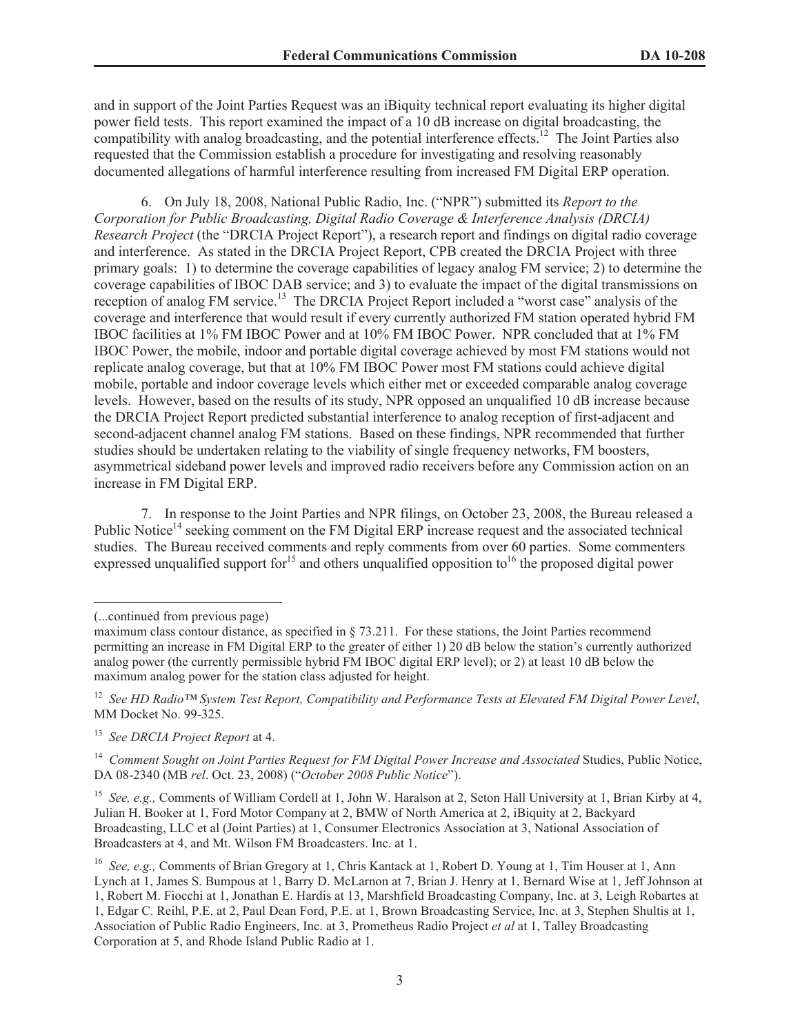and in support of the Joint Parties Request was an iBiquity technical report evaluating its higher digital power field tests. This report examined the impact of a 10 dB increase on digital broadcasting, the compatibility with analog broadcasting, and the potential interference effects.<sup>12</sup> The Joint Parties also requested that the Commission establish a procedure for investigating and resolving reasonably documented allegations of harmful interference resulting from increased FM Digital ERP operation.

6. On July 18, 2008, National Public Radio, Inc. ("NPR") submitted its *Report to the Corporation for Public Broadcasting, Digital Radio Coverage & Interference Analysis (DRCIA) Research Project* (the "DRCIA Project Report"), a research report and findings on digital radio coverage and interference. As stated in the DRCIA Project Report, CPB created the DRCIA Project with three primary goals: 1) to determine the coverage capabilities of legacy analog FM service; 2) to determine the coverage capabilities of IBOC DAB service; and 3) to evaluate the impact of the digital transmissions on reception of analog FM service.<sup>13</sup> The DRCIA Project Report included a "worst case" analysis of the coverage and interference that would result if every currently authorized FM station operated hybrid FM IBOC facilities at 1% FM IBOC Power and at 10% FM IBOC Power. NPR concluded that at 1% FM IBOC Power, the mobile, indoor and portable digital coverage achieved by most FM stations would not replicate analog coverage, but that at 10% FM IBOC Power most FM stations could achieve digital mobile, portable and indoor coverage levels which either met or exceeded comparable analog coverage levels. However, based on the results of its study, NPR opposed an unqualified 10 dB increase because the DRCIA Project Report predicted substantial interference to analog reception of first-adjacent and second-adjacent channel analog FM stations. Based on these findings, NPR recommended that further studies should be undertaken relating to the viability of single frequency networks, FM boosters, asymmetrical sideband power levels and improved radio receivers before any Commission action on an increase in FM Digital ERP.

7. In response to the Joint Parties and NPR filings, on October 23, 2008, the Bureau released a Public Notice<sup>14</sup> seeking comment on the FM Digital ERP increase request and the associated technical studies. The Bureau received comments and reply comments from over 60 parties. Some commenters expressed unqualified support for<sup>15</sup> and others unqualified opposition to<sup>16</sup> the proposed digital power

<sup>15</sup> *See, e.g.,* Comments of William Cordell at 1, John W. Haralson at 2, Seton Hall University at 1, Brian Kirby at 4, Julian H. Booker at 1, Ford Motor Company at 2, BMW of North America at 2, iBiquity at 2, Backyard Broadcasting, LLC et al (Joint Parties) at 1, Consumer Electronics Association at 3, National Association of Broadcasters at 4, and Mt. Wilson FM Broadcasters. Inc. at 1.

<sup>(...</sup>continued from previous page)

maximum class contour distance, as specified in § 73.211. For these stations, the Joint Parties recommend permitting an increase in FM Digital ERP to the greater of either 1) 20 dB below the station's currently authorized analog power (the currently permissible hybrid FM IBOC digital ERP level); or 2) at least 10 dB below the maximum analog power for the station class adjusted for height.

<sup>12</sup> *See HD Radio™ System Test Report, Compatibility and Performance Tests at Elevated FM Digital Power Level*, MM Docket No. 99-325.

<sup>13</sup> *See DRCIA Project Report* at 4.

<sup>&</sup>lt;sup>14</sup> *Comment Sought on Joint Parties Request for FM Digital Power Increase and Associated Studies, Public Notice,* DA 08-2340 (MB *rel*. Oct. 23, 2008) ("*October 2008 Public Notice*").

<sup>16</sup> *See, e.g.,* Comments of Brian Gregory at 1, Chris Kantack at 1, Robert D. Young at 1, Tim Houser at 1, Ann Lynch at 1, James S. Bumpous at 1, Barry D. McLarnon at 7, Brian J. Henry at 1, Bernard Wise at 1, Jeff Johnson at 1, Robert M. Fiocchi at 1, Jonathan E. Hardis at 13, Marshfield Broadcasting Company, Inc. at 3, Leigh Robartes at 1, Edgar C. Reihl, P.E. at 2, Paul Dean Ford, P.E. at 1, Brown Broadcasting Service, Inc. at 3, Stephen Shultis at 1, Association of Public Radio Engineers, Inc. at 3, Prometheus Radio Project *et al* at 1, Talley Broadcasting Corporation at 5, and Rhode Island Public Radio at 1.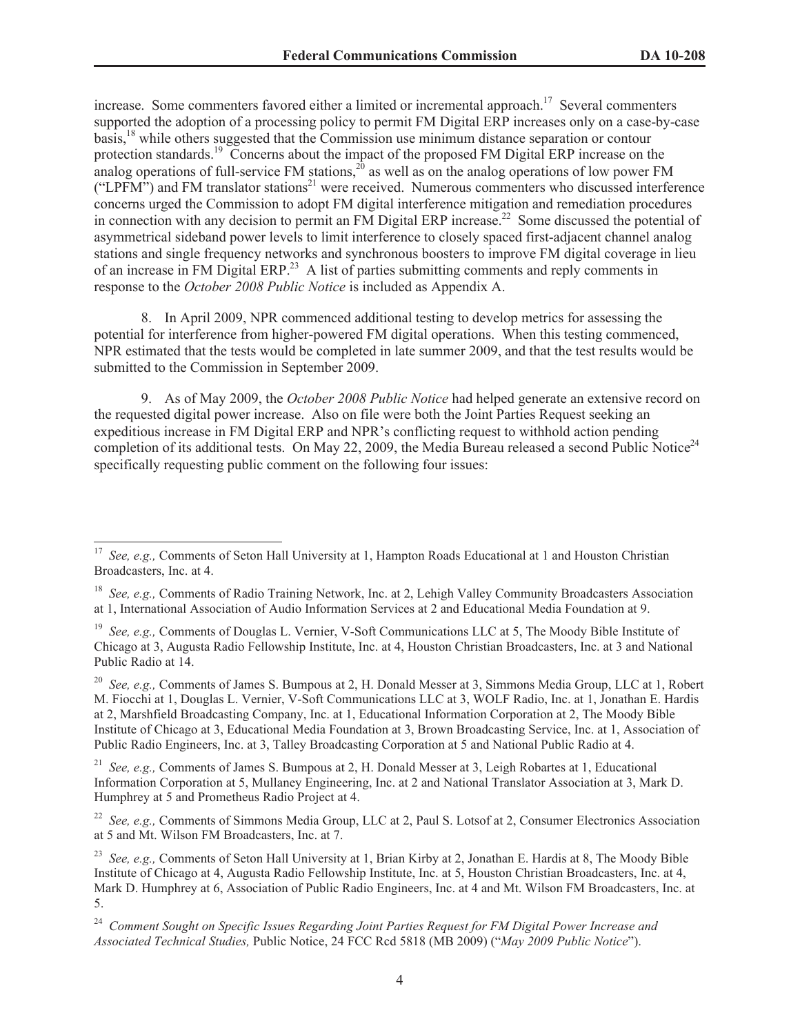increase. Some commenters favored either a limited or incremental approach.<sup>17</sup> Several commenters supported the adoption of a processing policy to permit FM Digital ERP increases only on a case-by-case basis,<sup>18</sup> while others suggested that the Commission use minimum distance separation or contour protection standards.<sup>19</sup> Concerns about the impact of the proposed FM Digital ERP increase on the analog operations of full-service FM stations,<sup>20</sup> as well as on the analog operations of low power FM ("LPFM") and FM translator stations<sup>21</sup> were received. Numerous commenters who discussed interference concerns urged the Commission to adopt FM digital interference mitigation and remediation procedures in connection with any decision to permit an FM Digital ERP increase.<sup>22</sup> Some discussed the potential of asymmetrical sideband power levels to limit interference to closely spaced first-adjacent channel analog stations and single frequency networks and synchronous boosters to improve FM digital coverage in lieu of an increase in FM Digital ERP.<sup>23</sup> A list of parties submitting comments and reply comments in response to the *October 2008 Public Notice* is included as Appendix A.

8. In April 2009, NPR commenced additional testing to develop metrics for assessing the potential for interference from higher-powered FM digital operations. When this testing commenced, NPR estimated that the tests would be completed in late summer 2009, and that the test results would be submitted to the Commission in September 2009.

9. As of May 2009, the *October 2008 Public Notice* had helped generate an extensive record on the requested digital power increase. Also on file were both the Joint Parties Request seeking an expeditious increase in FM Digital ERP and NPR's conflicting request to withhold action pending completion of its additional tests. On May 22, 2009, the Media Bureau released a second Public Notice<sup>24</sup> specifically requesting public comment on the following four issues:

<sup>20</sup> *See, e.g.,* Comments of James S. Bumpous at 2, H. Donald Messer at 3, Simmons Media Group, LLC at 1, Robert M. Fiocchi at 1, Douglas L. Vernier, V-Soft Communications LLC at 3, WOLF Radio, Inc. at 1, Jonathan E. Hardis at 2, Marshfield Broadcasting Company, Inc. at 1, Educational Information Corporation at 2, The Moody Bible Institute of Chicago at 3, Educational Media Foundation at 3, Brown Broadcasting Service, Inc. at 1, Association of Public Radio Engineers, Inc. at 3, Talley Broadcasting Corporation at 5 and National Public Radio at 4.

<sup>21</sup> *See, e.g.,* Comments of James S. Bumpous at 2, H. Donald Messer at 3, Leigh Robartes at 1, Educational Information Corporation at 5, Mullaney Engineering, Inc. at 2 and National Translator Association at 3, Mark D. Humphrey at 5 and Prometheus Radio Project at 4.

<sup>22</sup> *See, e.g.,* Comments of Simmons Media Group, LLC at 2, Paul S. Lotsof at 2, Consumer Electronics Association at 5 and Mt. Wilson FM Broadcasters, Inc. at 7.

<sup>23</sup> *See, e.g.,* Comments of Seton Hall University at 1, Brian Kirby at 2, Jonathan E. Hardis at 8, The Moody Bible Institute of Chicago at 4, Augusta Radio Fellowship Institute, Inc. at 5, Houston Christian Broadcasters, Inc. at 4, Mark D. Humphrey at 6, Association of Public Radio Engineers, Inc. at 4 and Mt. Wilson FM Broadcasters, Inc. at 5.

<sup>24</sup> *Comment Sought on Specific Issues Regarding Joint Parties Request for FM Digital Power Increase and Associated Technical Studies,* Public Notice, 24 FCC Rcd 5818 (MB 2009) ("*May 2009 Public Notice*").

<sup>17</sup> *See, e.g.,* Comments of Seton Hall University at 1, Hampton Roads Educational at 1 and Houston Christian Broadcasters, Inc. at 4.

<sup>18</sup> *See, e.g.,* Comments of Radio Training Network, Inc. at 2, Lehigh Valley Community Broadcasters Association at 1, International Association of Audio Information Services at 2 and Educational Media Foundation at 9.

<sup>19</sup> *See, e.g.,* Comments of Douglas L. Vernier, V-Soft Communications LLC at 5, The Moody Bible Institute of Chicago at 3, Augusta Radio Fellowship Institute, Inc. at 4, Houston Christian Broadcasters, Inc. at 3 and National Public Radio at 14.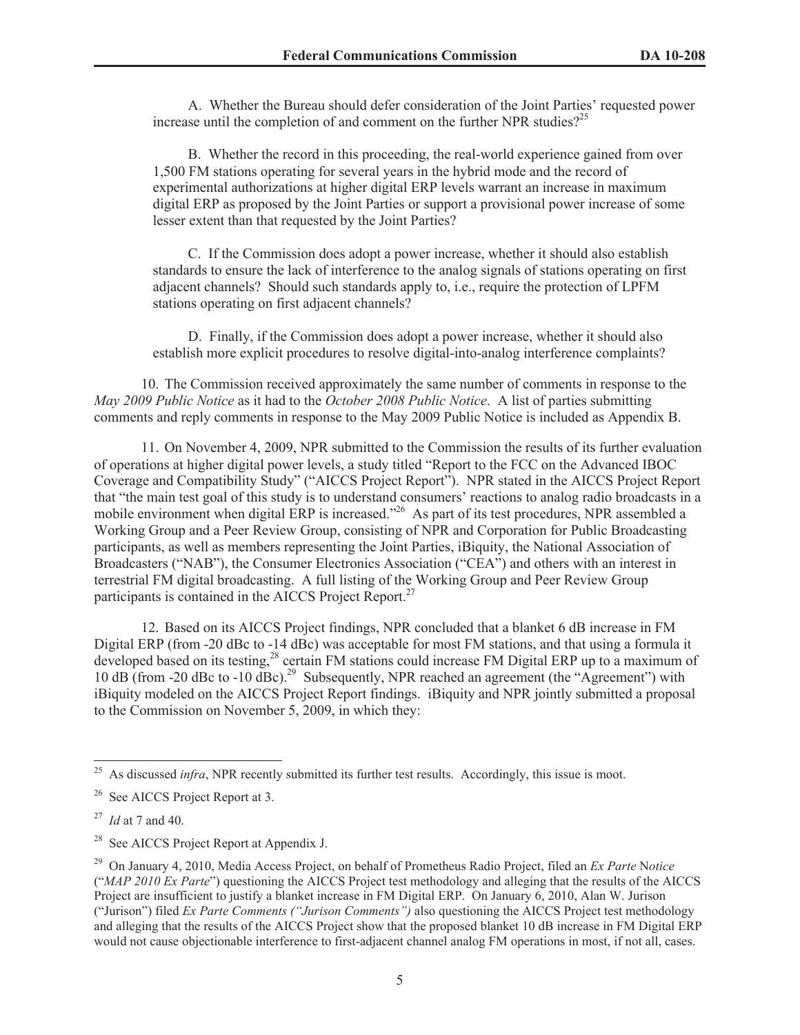A. Whether the Bureau should defer consideration of the Joint Parties' requested power increase until the completion of and comment on the further NPR studies?<sup>25</sup>

B. Whether the record in this proceeding, the real-world experience gained from over 1,500 FM stations operating for several years in the hybrid mode and the record of experimental authorizations at higher digital ERP levels warrant an increase in maximum digital ERP as proposed by the Joint Parties or support a provisional power increase of some lesser extent than that requested by the Joint Parties?

C. If the Commission does adopt a power increase, whether it should also establish standards to ensure the lack of interference to the analog signals of stations operating on first adjacent channels? Should such standards apply to, i.e., require the protection of LPFM stations operating on first adjacent channels?

D. Finally, if the Commission does adopt a power increase, whether it should also establish more explicit procedures to resolve digital-into-analog interference complaints?

10. The Commission received approximately the same number of comments in response to the *May 2009 Public Notice* as it had to the *October 2008 Public Notice*. A list of parties submitting comments and reply comments in response to the May 2009 Public Notice is included as Appendix B.

11. On November 4, 2009, NPR submitted to the Commission the results of its further evaluation of operations at higher digital power levels, a study titled "Report to the FCC on the Advanced IBOC Coverage and Compatibility Study" ("AICCS Project Report"). NPR stated in the AICCS Project Report that "the main test goal of this study is to understand consumers' reactions to analog radio broadcasts in a mobile environment when digital ERP is increased."<sup>26</sup> As part of its test procedures, NPR assembled a Working Group and a Peer Review Group, consisting of NPR and Corporation for Public Broadcasting participants, as well as members representing the Joint Parties, iBiquity, the National Association of Broadcasters ("NAB"), the Consumer Electronics Association ("CEA") and others with an interest in terrestrial FM digital broadcasting. A full listing of the Working Group and Peer Review Group participants is contained in the AICCS Project Report.<sup>27</sup>

12. Based on its AICCS Project findings, NPR concluded that a blanket 6 dB increase in FM Digital ERP (from -20 dBc to -14 dBc) was acceptable for most FM stations, and that using a formula it developed based on its testing,<sup>28</sup> certain FM stations could increase FM Digital ERP up to a maximum of 10 dB (from -20 dBc to -10 dBc).<sup>29</sup> Subsequently, NPR reached an agreement (the "Agreement") with iBiquity modeled on the AICCS Project Report findings. iBiquity and NPR jointly submitted a proposal to the Commission on November 5, 2009, in which they:

<sup>&</sup>lt;sup>25</sup> As discussed *infra*, NPR recently submitted its further test results. Accordingly, this issue is moot.

<sup>&</sup>lt;sup>26</sup> See AICCS Project Report at 3.

<sup>27</sup> *Id* at 7 and 40.

<sup>&</sup>lt;sup>28</sup> See AICCS Project Report at Appendix J.

<sup>29</sup> On January 4, 2010, Media Access Project, on behalf of Prometheus Radio Project, filed an *Ex Parte* N*otice* ("*MAP 2010 Ex Parte*") questioning the AICCS Project test methodology and alleging that the results of the AICCS Project are insufficient to justify a blanket increase in FM Digital ERP. On January 6, 2010, Alan W. Jurison ("Jurison") filed *Ex Parte Comments ("Jurison Comments")* also questioning the AICCS Project test methodology and alleging that the results of the AICCS Project show that the proposed blanket 10 dB increase in FM Digital ERP would not cause objectionable interference to first-adjacent channel analog FM operations in most, if not all, cases.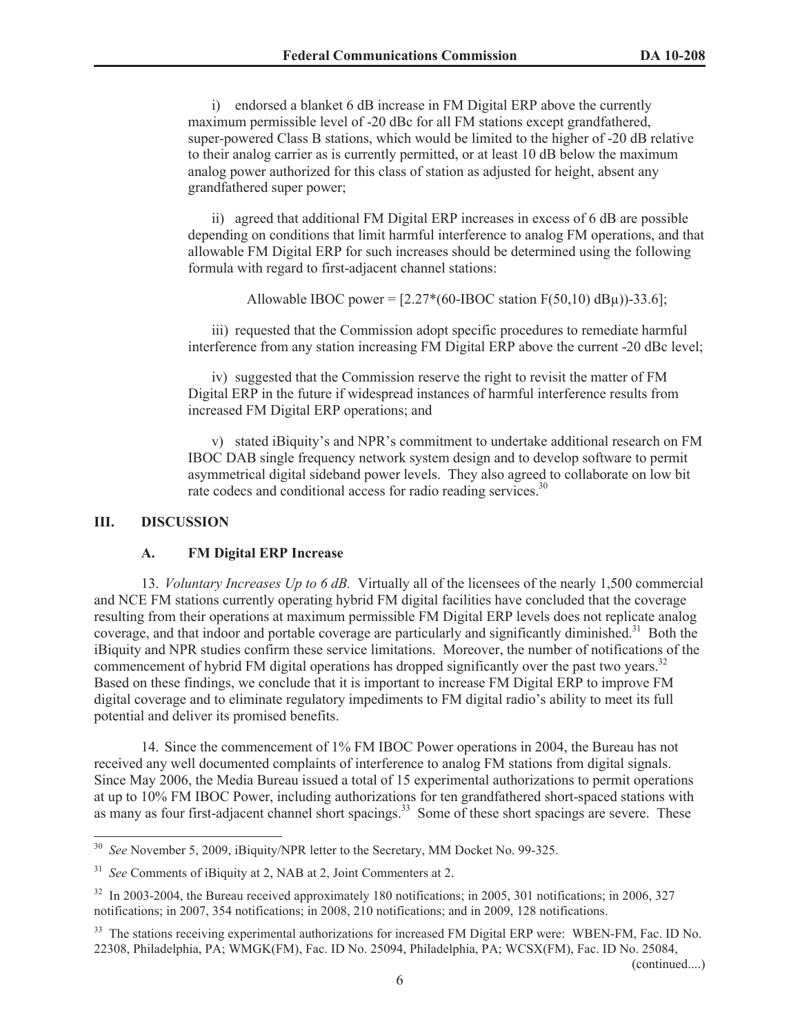i) endorsed a blanket 6 dB increase in FM Digital ERP above the currently maximum permissible level of -20 dBc for all FM stations except grandfathered, super-powered Class B stations, which would be limited to the higher of -20 dB relative to their analog carrier as is currently permitted, or at least 10 dB below the maximum analog power authorized for this class of station as adjusted for height, absent any grandfathered super power;

ii) agreed that additional FM Digital ERP increases in excess of 6 dB are possible depending on conditions that limit harmful interference to analog FM operations, and that allowable FM Digital ERP for such increases should be determined using the following formula with regard to first-adjacent channel stations:

Allowable IBOC power =  $[2.27*(60-HBOC station F(50,10) dB<sub>\mu</sub>)]-33.6$ ];

iii) requested that the Commission adopt specific procedures to remediate harmful interference from any station increasing FM Digital ERP above the current -20 dBc level;

iv) suggested that the Commission reserve the right to revisit the matter of FM Digital ERP in the future if widespread instances of harmful interference results from increased FM Digital ERP operations; and

v) stated iBiquity's and NPR's commitment to undertake additional research on FM IBOC DAB single frequency network system design and to develop software to permit asymmetrical digital sideband power levels. They also agreed to collaborate on low bit rate codecs and conditional access for radio reading services.<sup>30</sup>

### **III. DISCUSSION**

### **A. FM Digital ERP Increase**

13. *Voluntary Increases Up to 6 dB.* Virtually all of the licensees of the nearly 1,500 commercial and NCE FM stations currently operating hybrid FM digital facilities have concluded that the coverage resulting from their operations at maximum permissible FM Digital ERP levels does not replicate analog coverage, and that indoor and portable coverage are particularly and significantly diminished.<sup>31</sup> Both the iBiquity and NPR studies confirm these service limitations. Moreover, the number of notifications of the commencement of hybrid FM digital operations has dropped significantly over the past two vears.<sup>32</sup> Based on these findings, we conclude that it is important to increase FM Digital ERP to improve FM digital coverage and to eliminate regulatory impediments to FM digital radio's ability to meet its full potential and deliver its promised benefits.

14. Since the commencement of 1% FM IBOC Power operations in 2004, the Bureau has not received any well documented complaints of interference to analog FM stations from digital signals. Since May 2006, the Media Bureau issued a total of 15 experimental authorizations to permit operations at up to 10% FM IBOC Power, including authorizations for ten grandfathered short-spaced stations with as many as four first-adjacent channel short spacings.<sup>33</sup> Some of these short spacings are severe. These

(continued....)

See November 5, 2009, iBiquity/NPR letter to the Secretary, MM Docket No. 99-325.

<sup>31</sup> *See* Comments of iBiquity at 2, NAB at 2, Joint Commenters at 2.

<sup>&</sup>lt;sup>32</sup> In 2003-2004, the Bureau received approximately 180 notifications; in 2005, 301 notifications; in 2006, 327 notifications; in 2007, 354 notifications; in 2008, 210 notifications; and in 2009, 128 notifications.

<sup>&</sup>lt;sup>33</sup> The stations receiving experimental authorizations for increased FM Digital ERP were: WBEN-FM, Fac. ID No. 22308, Philadelphia, PA; WMGK(FM), Fac. ID No. 25094, Philadelphia, PA; WCSX(FM), Fac. ID No. 25084,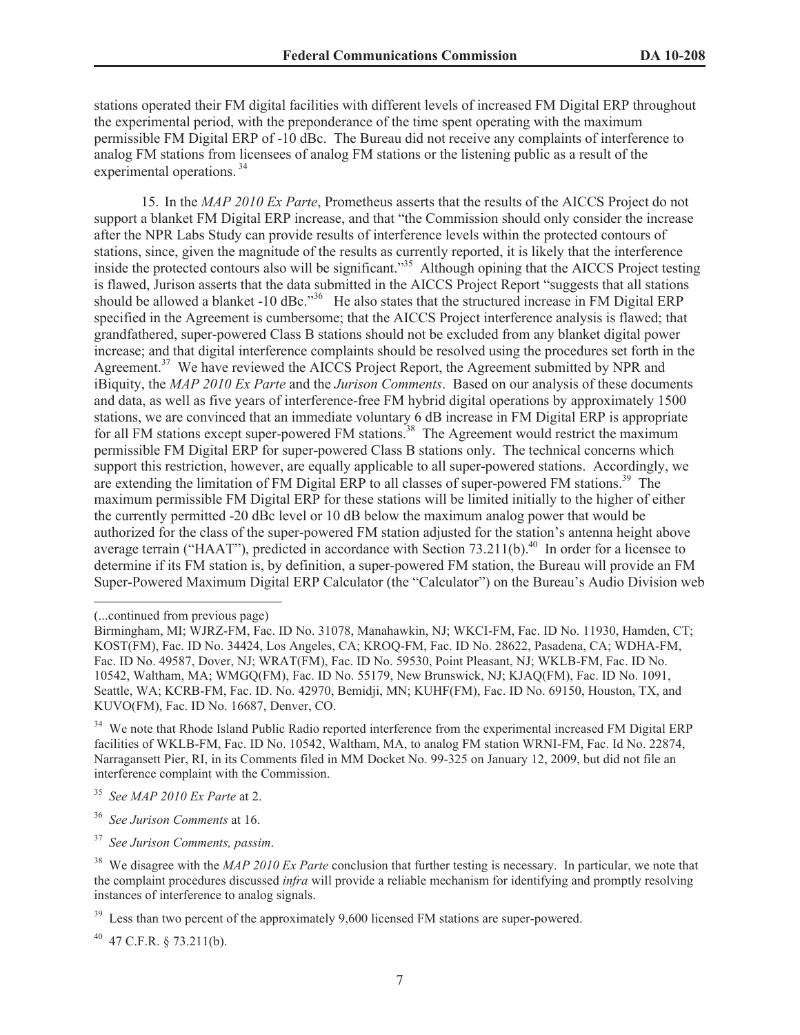stations operated their FM digital facilities with different levels of increased FM Digital ERP throughout the experimental period, with the preponderance of the time spent operating with the maximum permissible FM Digital ERP of -10 dBc. The Bureau did not receive any complaints of interference to analog FM stations from licensees of analog FM stations or the listening public as a result of the experimental operations.<sup>34</sup>

15. In the *MAP 2010 Ex Parte*, Prometheus asserts that the results of the AICCS Project do not support a blanket FM Digital ERP increase, and that "the Commission should only consider the increase after the NPR Labs Study can provide results of interference levels within the protected contours of stations, since, given the magnitude of the results as currently reported, it is likely that the interference inside the protected contours also will be significant."<sup>35</sup> Although opining that the AICCS Project testing is flawed, Jurison asserts that the data submitted in the AICCS Project Report "suggests that all stations should be allowed a blanket -10 dBc."<sup>36</sup> He also states that the structured increase in FM Digital ERP specified in the Agreement is cumbersome; that the AICCS Project interference analysis is flawed; that grandfathered, super-powered Class B stations should not be excluded from any blanket digital power increase; and that digital interference complaints should be resolved using the procedures set forth in the Agreement.<sup>37</sup> We have reviewed the AICCS Project Report, the Agreement submitted by NPR and iBiquity, the *MAP 2010 Ex Parte* and the *Jurison Comments*. Based on our analysis of these documents and data, as well as five years of interference-free FM hybrid digital operations by approximately 1500 stations, we are convinced that an immediate voluntary 6 dB increase in FM Digital ERP is appropriate for all FM stations except super-powered FM stations.<sup>38</sup> The Agreement would restrict the maximum permissible FM Digital ERP for super-powered Class B stations only. The technical concerns which support this restriction, however, are equally applicable to all super-powered stations. Accordingly, we are extending the limitation of FM Digital ERP to all classes of super-powered FM stations.<sup>39</sup> The maximum permissible FM Digital ERP for these stations will be limited initially to the higher of either the currently permitted -20 dBc level or 10 dB below the maximum analog power that would be authorized for the class of the super-powered FM station adjusted for the station's antenna height above average terrain ("HAAT"), predicted in accordance with Section 73.211(b).<sup>40</sup> In order for a licensee to determine if its FM station is, by definition, a super-powered FM station, the Bureau will provide an FM Super-Powered Maximum Digital ERP Calculator (the "Calculator") on the Bureau's Audio Division web

<sup>36</sup> *See Jurison Comments* at 16.

<sup>37</sup> *See Jurison Comments, passim*.

 $^{40}$  47 C.F.R. § 73.211(b).

<sup>(...</sup>continued from previous page)

Birmingham, MI; WJRZ-FM, Fac. ID No. 31078, Manahawkin, NJ; WKCI-FM, Fac. ID No. 11930, Hamden, CT; KOST(FM), Fac. ID No. 34424, Los Angeles, CA; KROQ-FM, Fac. ID No. 28622, Pasadena, CA; WDHA-FM, Fac. ID No. 49587, Dover, NJ; WRAT(FM), Fac. ID No. 59530, Point Pleasant, NJ; WKLB-FM, Fac. ID No. 10542, Waltham, MA; WMGQ(FM), Fac. ID No. 55179, New Brunswick, NJ; KJAQ(FM), Fac. ID No. 1091, Seattle, WA; KCRB-FM, Fac. ID. No. 42970, Bemidji, MN; KUHF(FM), Fac. ID No. 69150, Houston, TX, and KUVO(FM), Fac. ID No. 16687, Denver, CO.

<sup>&</sup>lt;sup>34</sup> We note that Rhode Island Public Radio reported interference from the experimental increased FM Digital ERP facilities of WKLB-FM, Fac. ID No. 10542, Waltham, MA, to analog FM station WRNI-FM, Fac. Id No. 22874, Narragansett Pier, RI, in its Comments filed in MM Docket No. 99-325 on January 12, 2009, but did not file an interference complaint with the Commission.

<sup>35</sup> *See MAP 2010 Ex Parte* at 2.

<sup>&</sup>lt;sup>38</sup> We disagree with the *MAP 2010 Ex Parte* conclusion that further testing is necessary. In particular, we note that the complaint procedures discussed *infra* will provide a reliable mechanism for identifying and promptly resolving instances of interference to analog signals.

 $39$  Less than two percent of the approximately 9,600 licensed FM stations are super-powered.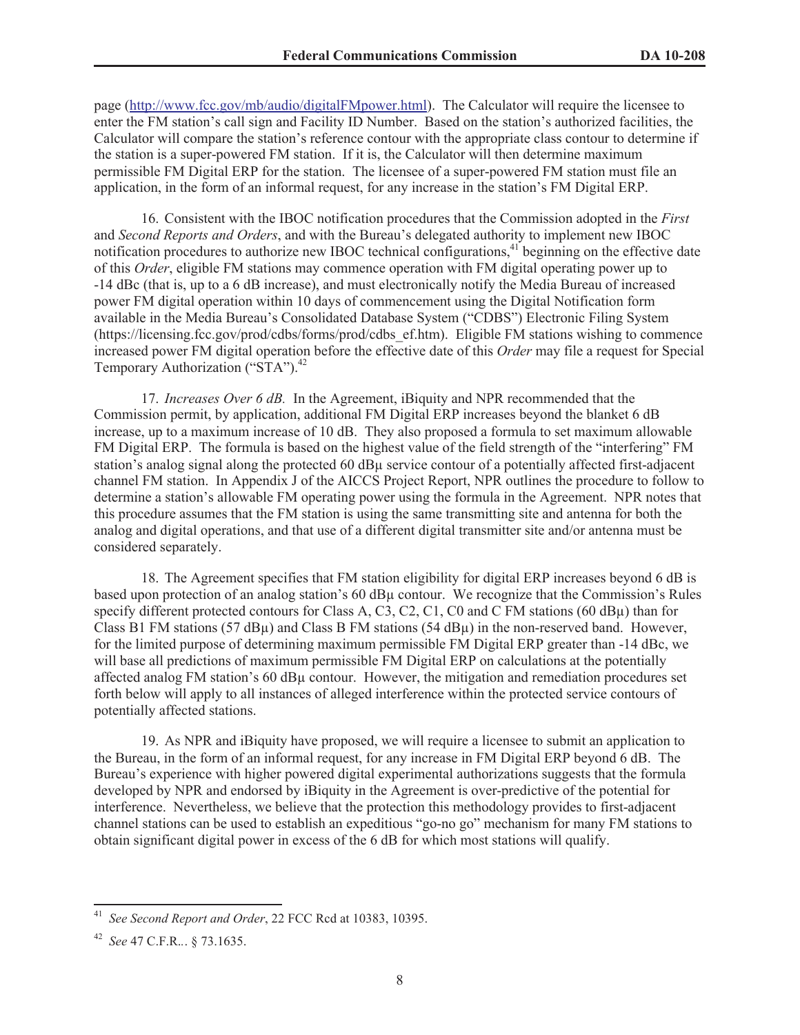page (http://www.fcc.gov/mb/audio/digitalFMpower.html). The Calculator will require the licensee to enter the FM station's call sign and Facility ID Number. Based on the station's authorized facilities, the Calculator will compare the station's reference contour with the appropriate class contour to determine if the station is a super-powered FM station. If it is, the Calculator will then determine maximum permissible FM Digital ERP for the station. The licensee of a super-powered FM station must file an application, in the form of an informal request, for any increase in the station's FM Digital ERP.

16. Consistent with the IBOC notification procedures that the Commission adopted in the *First*  and *Second Reports and Orders*, and with the Bureau's delegated authority to implement new IBOC notification procedures to authorize new IBOC technical configurations,<sup>41</sup> beginning on the effective date of this *Order*, eligible FM stations may commence operation with FM digital operating power up to -14 dBc (that is, up to a 6 dB increase), and must electronically notify the Media Bureau of increased power FM digital operation within 10 days of commencement using the Digital Notification form available in the Media Bureau's Consolidated Database System ("CDBS") Electronic Filing System (https://licensing.fcc.gov/prod/cdbs/forms/prod/cdbs\_ef.htm). Eligible FM stations wishing to commence increased power FM digital operation before the effective date of this *Order* may file a request for Special Temporary Authorization ("STA").<sup>42</sup>

17. *Increases Over 6 dB.* In the Agreement, iBiquity and NPR recommended that the Commission permit, by application, additional FM Digital ERP increases beyond the blanket 6 dB increase, up to a maximum increase of 10 dB. They also proposed a formula to set maximum allowable FM Digital ERP. The formula is based on the highest value of the field strength of the "interfering" FM station's analog signal along the protected 60 dBµ service contour of a potentially affected first-adjacent channel FM station. In Appendix J of the AICCS Project Report, NPR outlines the procedure to follow to determine a station's allowable FM operating power using the formula in the Agreement. NPR notes that this procedure assumes that the FM station is using the same transmitting site and antenna for both the analog and digital operations, and that use of a different digital transmitter site and/or antenna must be considered separately.

18. The Agreement specifies that FM station eligibility for digital ERP increases beyond 6 dB is based upon protection of an analog station's 60 dBµ contour. We recognize that the Commission's Rules specify different protected contours for Class A, C3, C2, C1, C0 and C FM stations (60 dB $\mu$ ) than for Class B1 FM stations (57 dB $\mu$ ) and Class B FM stations (54 dB $\mu$ ) in the non-reserved band. However, for the limited purpose of determining maximum permissible FM Digital ERP greater than -14 dBc, we will base all predictions of maximum permissible FM Digital ERP on calculations at the potentially affected analog FM station's 60 dBµ contour. However, the mitigation and remediation procedures set forth below will apply to all instances of alleged interference within the protected service contours of potentially affected stations.

19. As NPR and iBiquity have proposed, we will require a licensee to submit an application to the Bureau, in the form of an informal request, for any increase in FM Digital ERP beyond 6 dB. The Bureau's experience with higher powered digital experimental authorizations suggests that the formula developed by NPR and endorsed by iBiquity in the Agreement is over-predictive of the potential for interference. Nevertheless, we believe that the protection this methodology provides to first-adjacent channel stations can be used to establish an expeditious "go-no go" mechanism for many FM stations to obtain significant digital power in excess of the 6 dB for which most stations will qualify.

<sup>41</sup> *See Second Report and Order*, 22 FCC Rcd at 10383, 10395.

<sup>42</sup> *See* 47 C.F.R.*.*. § 73.1635.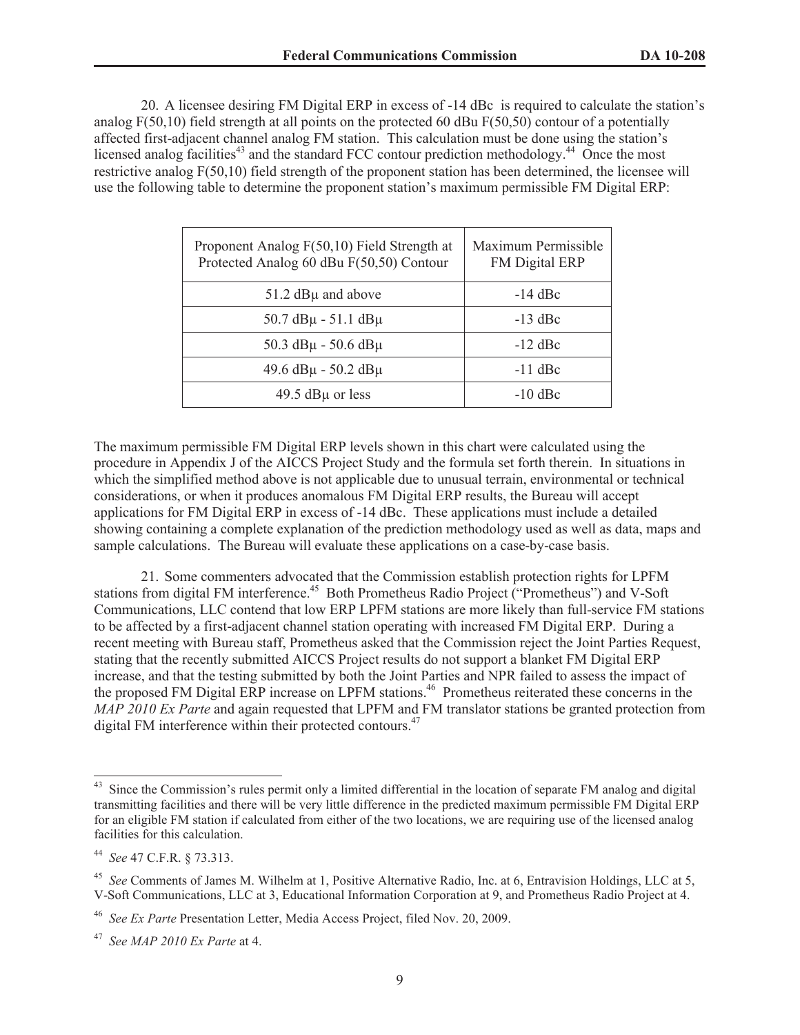20. A licensee desiring FM Digital ERP in excess of -14 dBc is required to calculate the station's analog F(50,10) field strength at all points on the protected 60 dBu F(50,50) contour of a potentially affected first-adjacent channel analog FM station. This calculation must be done using the station's licensed analog facilities<sup>43</sup> and the standard FCC contour prediction methodology.<sup>44</sup> Once the most restrictive analog F(50,10) field strength of the proponent station has been determined, the licensee will use the following table to determine the proponent station's maximum permissible FM Digital ERP:

| Proponent Analog F(50,10) Field Strength at<br>Protected Analog 60 dBu F(50,50) Contour | Maximum Permissible<br>FM Digital ERP |
|-----------------------------------------------------------------------------------------|---------------------------------------|
| $51.2$ dB $\mu$ and above                                                               | $-14$ dBc                             |
| $50.7$ dB $\mu$ - 51.1 dB $\mu$                                                         | $-13$ dBc                             |
| $50.3$ dB $\mu$ - 50.6 dB $\mu$                                                         | $-12$ dBc                             |
| $49.6$ dB $\mu$ - 50.2 dB $\mu$                                                         | $-11$ dBc                             |
| 49.5 $dB\mu$ or less                                                                    | $-10$ dBc                             |

The maximum permissible FM Digital ERP levels shown in this chart were calculated using the procedure in Appendix J of the AICCS Project Study and the formula set forth therein. In situations in which the simplified method above is not applicable due to unusual terrain, environmental or technical considerations, or when it produces anomalous FM Digital ERP results, the Bureau will accept applications for FM Digital ERP in excess of -14 dBc. These applications must include a detailed showing containing a complete explanation of the prediction methodology used as well as data, maps and sample calculations. The Bureau will evaluate these applications on a case-by-case basis.

21. Some commenters advocated that the Commission establish protection rights for LPFM stations from digital FM interference.<sup>45</sup> Both Prometheus Radio Project ("Prometheus") and V-Soft Communications, LLC contend that low ERP LPFM stations are more likely than full-service FM stations to be affected by a first-adjacent channel station operating with increased FM Digital ERP. During a recent meeting with Bureau staff, Prometheus asked that the Commission reject the Joint Parties Request, stating that the recently submitted AICCS Project results do not support a blanket FM Digital ERP increase, and that the testing submitted by both the Joint Parties and NPR failed to assess the impact of the proposed FM Digital ERP increase on LPFM stations.<sup>46</sup> Prometheus reiterated these concerns in the *MAP 2010 Ex Parte* and again requested that LPFM and FM translator stations be granted protection from digital FM interference within their protected contours.<sup>47</sup>

<sup>&</sup>lt;sup>43</sup> Since the Commission's rules permit only a limited differential in the location of separate FM analog and digital transmitting facilities and there will be very little difference in the predicted maximum permissible FM Digital ERP for an eligible FM station if calculated from either of the two locations, we are requiring use of the licensed analog facilities for this calculation.

<sup>44</sup> *See* 47 C.F.R. § 73.313.

<sup>45</sup> *See* Comments of James M. Wilhelm at 1, Positive Alternative Radio, Inc. at 6, Entravision Holdings, LLC at 5, V-Soft Communications, LLC at 3, Educational Information Corporation at 9, and Prometheus Radio Project at 4.

<sup>46</sup> *See Ex Parte* Presentation Letter, Media Access Project, filed Nov. 20, 2009.

<sup>47</sup> *See MAP 2010 Ex Parte* at 4.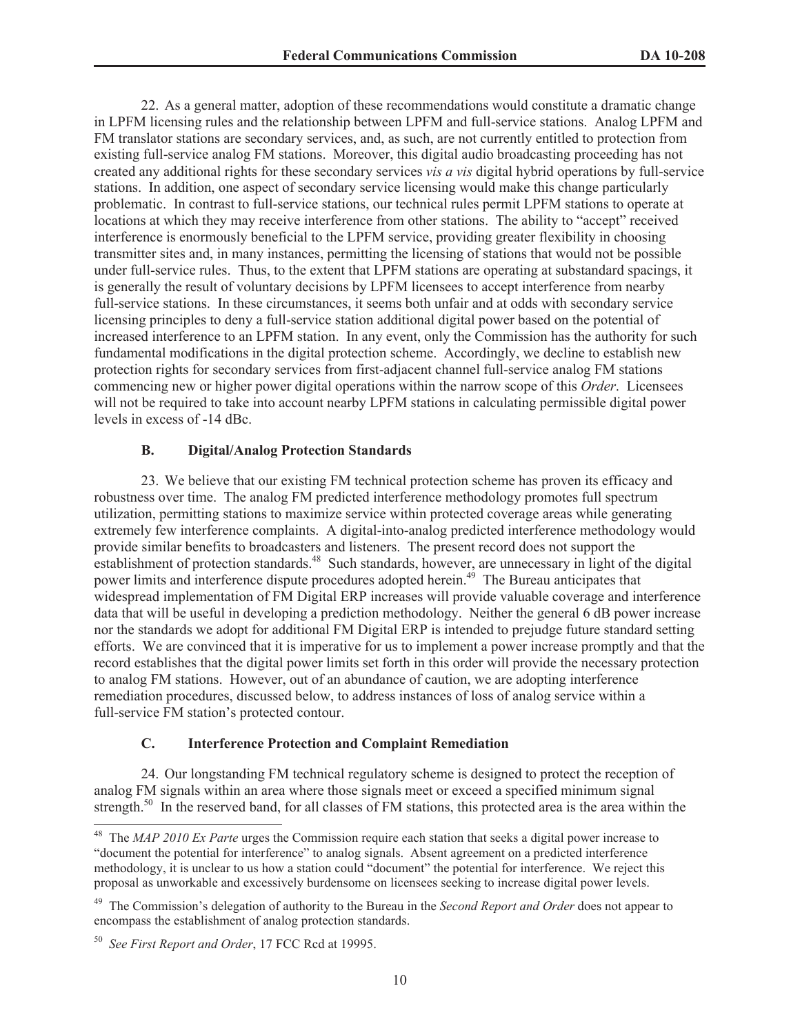22. As a general matter, adoption of these recommendations would constitute a dramatic change in LPFM licensing rules and the relationship between LPFM and full-service stations. Analog LPFM and FM translator stations are secondary services, and, as such, are not currently entitled to protection from existing full-service analog FM stations. Moreover, this digital audio broadcasting proceeding has not created any additional rights for these secondary services *vis a vis* digital hybrid operations by full-service stations. In addition, one aspect of secondary service licensing would make this change particularly problematic. In contrast to full-service stations, our technical rules permit LPFM stations to operate at locations at which they may receive interference from other stations. The ability to "accept" received interference is enormously beneficial to the LPFM service, providing greater flexibility in choosing transmitter sites and, in many instances, permitting the licensing of stations that would not be possible under full-service rules. Thus, to the extent that LPFM stations are operating at substandard spacings, it is generally the result of voluntary decisions by LPFM licensees to accept interference from nearby full-service stations. In these circumstances, it seems both unfair and at odds with secondary service licensing principles to deny a full-service station additional digital power based on the potential of increased interference to an LPFM station. In any event, only the Commission has the authority for such fundamental modifications in the digital protection scheme. Accordingly, we decline to establish new protection rights for secondary services from first-adjacent channel full-service analog FM stations commencing new or higher power digital operations within the narrow scope of this *Order*. Licensees will not be required to take into account nearby LPFM stations in calculating permissible digital power levels in excess of -14 dBc.

### **B. Digital/Analog Protection Standards**

23. We believe that our existing FM technical protection scheme has proven its efficacy and robustness over time. The analog FM predicted interference methodology promotes full spectrum utilization, permitting stations to maximize service within protected coverage areas while generating extremely few interference complaints. A digital-into-analog predicted interference methodology would provide similar benefits to broadcasters and listeners. The present record does not support the establishment of protection standards.<sup>48</sup> Such standards, however, are unnecessary in light of the digital power limits and interference dispute procedures adopted herein.<sup>49</sup> The Bureau anticipates that widespread implementation of FM Digital ERP increases will provide valuable coverage and interference data that will be useful in developing a prediction methodology. Neither the general 6 dB power increase nor the standards we adopt for additional FM Digital ERP is intended to prejudge future standard setting efforts. We are convinced that it is imperative for us to implement a power increase promptly and that the record establishes that the digital power limits set forth in this order will provide the necessary protection to analog FM stations. However, out of an abundance of caution, we are adopting interference remediation procedures, discussed below, to address instances of loss of analog service within a full-service FM station's protected contour.

### **C. Interference Protection and Complaint Remediation**

24. Our longstanding FM technical regulatory scheme is designed to protect the reception of analog FM signals within an area where those signals meet or exceed a specified minimum signal strength.<sup>50</sup> In the reserved band, for all classes of FM stations, this protected area is the area within the

<sup>48</sup> The *MAP 2010 Ex Parte* urges the Commission require each station that seeks a digital power increase to "document the potential for interference" to analog signals. Absent agreement on a predicted interference methodology, it is unclear to us how a station could "document" the potential for interference. We reject this proposal as unworkable and excessively burdensome on licensees seeking to increase digital power levels.

<sup>49</sup> The Commission's delegation of authority to the Bureau in the *Second Report and Order* does not appear to encompass the establishment of analog protection standards.

<sup>50</sup> *See First Report and Order*, 17 FCC Rcd at 19995.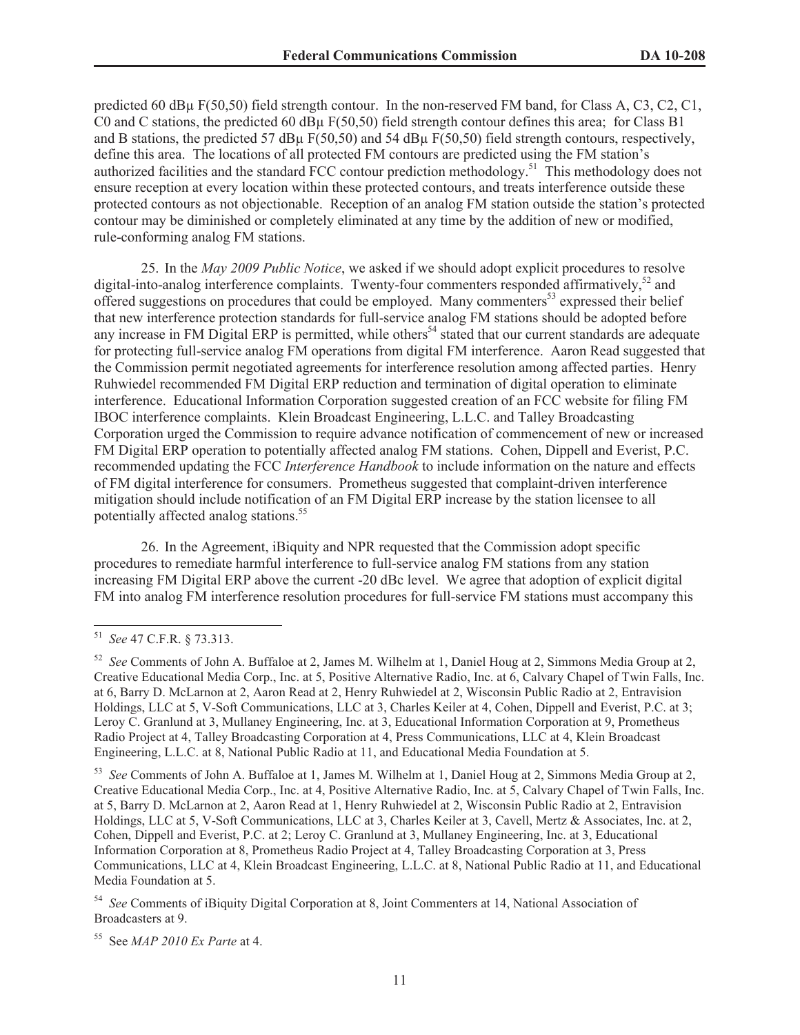predicted 60 dBµ F(50,50) field strength contour. In the non-reserved FM band, for Class A, C3, C2, C1, C0 and C stations, the predicted 60 dB $\mu$  F(50,50) field strength contour defines this area; for Class B1 and B stations, the predicted 57 dBµ F(50,50) and 54 dBµ F(50,50) field strength contours, respectively, define this area. The locations of all protected FM contours are predicted using the FM station's authorized facilities and the standard FCC contour prediction methodology.<sup>51</sup> This methodology does not ensure reception at every location within these protected contours, and treats interference outside these protected contours as not objectionable. Reception of an analog FM station outside the station's protected contour may be diminished or completely eliminated at any time by the addition of new or modified, rule-conforming analog FM stations.

25. In the *May 2009 Public Notice*, we asked if we should adopt explicit procedures to resolve digital-into-analog interference complaints. Twenty-four commenters responded affirmatively,<sup>52</sup> and offered suggestions on procedures that could be employed. Many commenters<sup>53</sup> expressed their belief that new interference protection standards for full-service analog FM stations should be adopted before any increase in FM Digital ERP is permitted, while others<sup>54</sup> stated that our current standards are adequate for protecting full-service analog FM operations from digital FM interference. Aaron Read suggested that the Commission permit negotiated agreements for interference resolution among affected parties. Henry Ruhwiedel recommended FM Digital ERP reduction and termination of digital operation to eliminate interference. Educational Information Corporation suggested creation of an FCC website for filing FM IBOC interference complaints. Klein Broadcast Engineering, L.L.C. and Talley Broadcasting Corporation urged the Commission to require advance notification of commencement of new or increased FM Digital ERP operation to potentially affected analog FM stations. Cohen, Dippell and Everist, P.C. recommended updating the FCC *Interference Handbook* to include information on the nature and effects of FM digital interference for consumers. Prometheus suggested that complaint-driven interference mitigation should include notification of an FM Digital ERP increase by the station licensee to all potentially affected analog stations.<sup>55</sup>

26. In the Agreement, iBiquity and NPR requested that the Commission adopt specific procedures to remediate harmful interference to full-service analog FM stations from any station increasing FM Digital ERP above the current -20 dBc level. We agree that adoption of explicit digital FM into analog FM interference resolution procedures for full-service FM stations must accompany this

<sup>54</sup> *See* Comments of iBiquity Digital Corporation at 8, Joint Commenters at 14, National Association of Broadcasters at 9.

<sup>55</sup> See *MAP 2010 Ex Parte* at 4.

<sup>51</sup> *See* 47 C.F.R. § 73.313.

<sup>52</sup> *See* Comments of John A. Buffaloe at 2, James M. Wilhelm at 1, Daniel Houg at 2, Simmons Media Group at 2, Creative Educational Media Corp., Inc. at 5, Positive Alternative Radio, Inc. at 6, Calvary Chapel of Twin Falls, Inc. at 6, Barry D. McLarnon at 2, Aaron Read at 2, Henry Ruhwiedel at 2, Wisconsin Public Radio at 2, Entravision Holdings, LLC at 5, V-Soft Communications, LLC at 3, Charles Keiler at 4, Cohen, Dippell and Everist, P.C. at 3; Leroy C. Granlund at 3, Mullaney Engineering, Inc. at 3, Educational Information Corporation at 9, Prometheus Radio Project at 4, Talley Broadcasting Corporation at 4, Press Communications, LLC at 4, Klein Broadcast Engineering, L.L.C. at 8, National Public Radio at 11, and Educational Media Foundation at 5.

<sup>53</sup> *See* Comments of John A. Buffaloe at 1, James M. Wilhelm at 1, Daniel Houg at 2, Simmons Media Group at 2, Creative Educational Media Corp., Inc. at 4, Positive Alternative Radio, Inc. at 5, Calvary Chapel of Twin Falls, Inc. at 5, Barry D. McLarnon at 2, Aaron Read at 1, Henry Ruhwiedel at 2, Wisconsin Public Radio at 2, Entravision Holdings, LLC at 5, V-Soft Communications, LLC at 3, Charles Keiler at 3, Cavell, Mertz & Associates, Inc. at 2, Cohen, Dippell and Everist, P.C. at 2; Leroy C. Granlund at 3, Mullaney Engineering, Inc. at 3, Educational Information Corporation at 8, Prometheus Radio Project at 4, Talley Broadcasting Corporation at 3, Press Communications, LLC at 4, Klein Broadcast Engineering, L.L.C. at 8, National Public Radio at 11, and Educational Media Foundation at 5.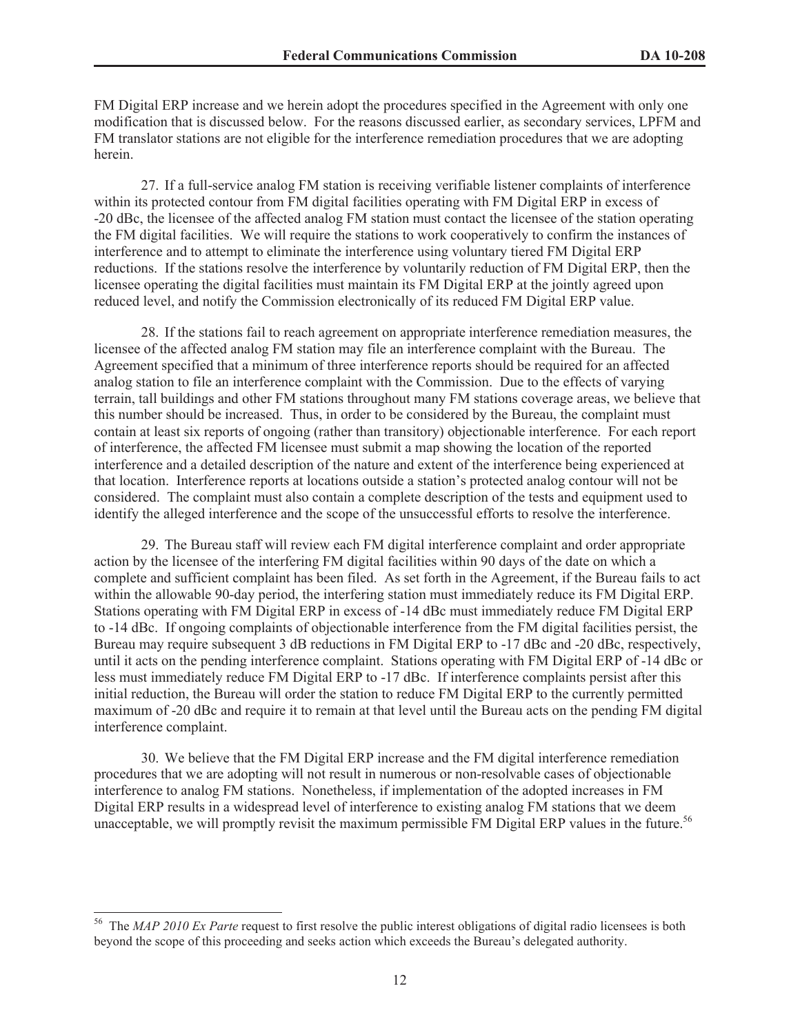FM Digital ERP increase and we herein adopt the procedures specified in the Agreement with only one modification that is discussed below. For the reasons discussed earlier, as secondary services, LPFM and FM translator stations are not eligible for the interference remediation procedures that we are adopting herein.

27. If a full-service analog FM station is receiving verifiable listener complaints of interference within its protected contour from FM digital facilities operating with FM Digital ERP in excess of -20 dBc, the licensee of the affected analog FM station must contact the licensee of the station operating the FM digital facilities. We will require the stations to work cooperatively to confirm the instances of interference and to attempt to eliminate the interference using voluntary tiered FM Digital ERP reductions. If the stations resolve the interference by voluntarily reduction of FM Digital ERP, then the licensee operating the digital facilities must maintain its FM Digital ERP at the jointly agreed upon reduced level, and notify the Commission electronically of its reduced FM Digital ERP value.

28. If the stations fail to reach agreement on appropriate interference remediation measures, the licensee of the affected analog FM station may file an interference complaint with the Bureau. The Agreement specified that a minimum of three interference reports should be required for an affected analog station to file an interference complaint with the Commission. Due to the effects of varying terrain, tall buildings and other FM stations throughout many FM stations coverage areas, we believe that this number should be increased. Thus, in order to be considered by the Bureau, the complaint must contain at least six reports of ongoing (rather than transitory) objectionable interference. For each report of interference, the affected FM licensee must submit a map showing the location of the reported interference and a detailed description of the nature and extent of the interference being experienced at that location. Interference reports at locations outside a station's protected analog contour will not be considered. The complaint must also contain a complete description of the tests and equipment used to identify the alleged interference and the scope of the unsuccessful efforts to resolve the interference.

29. The Bureau staff will review each FM digital interference complaint and order appropriate action by the licensee of the interfering FM digital facilities within 90 days of the date on which a complete and sufficient complaint has been filed. As set forth in the Agreement, if the Bureau fails to act within the allowable 90-day period, the interfering station must immediately reduce its FM Digital ERP. Stations operating with FM Digital ERP in excess of -14 dBc must immediately reduce FM Digital ERP to -14 dBc. If ongoing complaints of objectionable interference from the FM digital facilities persist, the Bureau may require subsequent 3 dB reductions in FM Digital ERP to -17 dBc and -20 dBc, respectively, until it acts on the pending interference complaint. Stations operating with FM Digital ERP of -14 dBc or less must immediately reduce FM Digital ERP to -17 dBc. If interference complaints persist after this initial reduction, the Bureau will order the station to reduce FM Digital ERP to the currently permitted maximum of -20 dBc and require it to remain at that level until the Bureau acts on the pending FM digital interference complaint.

30. We believe that the FM Digital ERP increase and the FM digital interference remediation procedures that we are adopting will not result in numerous or non-resolvable cases of objectionable interference to analog FM stations. Nonetheless, if implementation of the adopted increases in FM Digital ERP results in a widespread level of interference to existing analog FM stations that we deem unacceptable, we will promptly revisit the maximum permissible FM Digital ERP values in the future.<sup>56</sup>

<sup>56</sup> The *MAP 2010 Ex Parte* request to first resolve the public interest obligations of digital radio licensees is both beyond the scope of this proceeding and seeks action which exceeds the Bureau's delegated authority.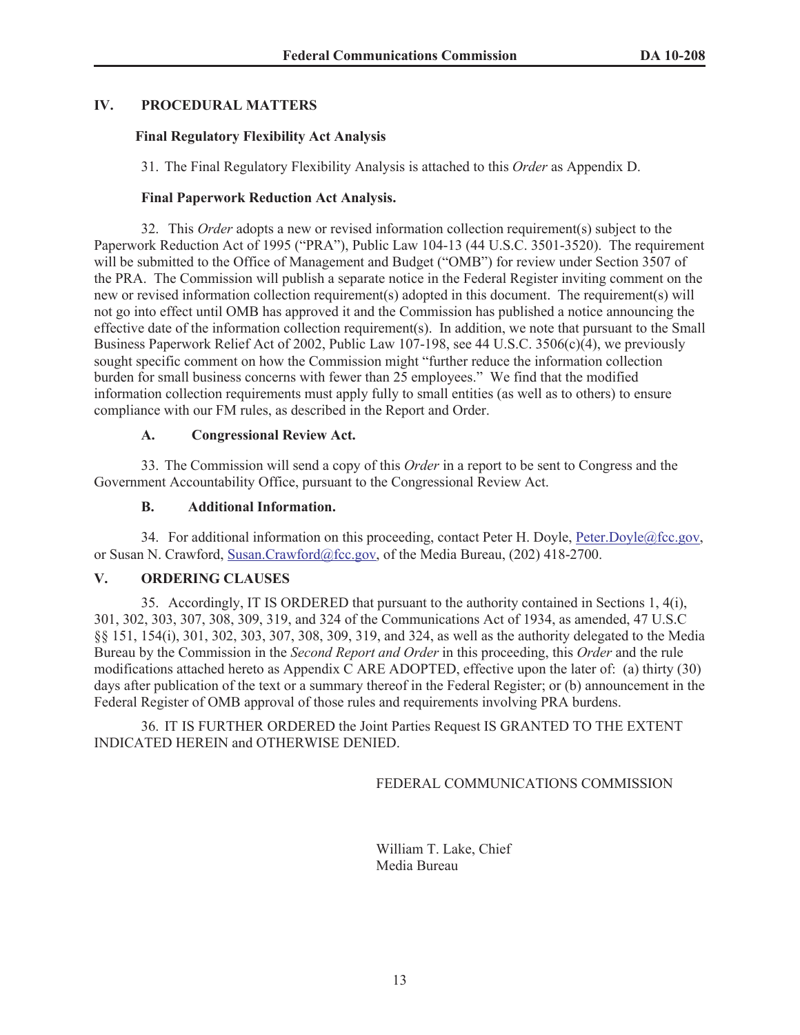# **IV. PROCEDURAL MATTERS**

## **Final Regulatory Flexibility Act Analysis**

31. The Final Regulatory Flexibility Analysis is attached to this *Order* as Appendix D.

# **Final Paperwork Reduction Act Analysis.**

32. This *Order* adopts a new or revised information collection requirement(s) subject to the Paperwork Reduction Act of 1995 ("PRA"), Public Law 104-13 (44 U.S.C. 3501-3520). The requirement will be submitted to the Office of Management and Budget ("OMB") for review under Section 3507 of the PRA. The Commission will publish a separate notice in the Federal Register inviting comment on the new or revised information collection requirement(s) adopted in this document. The requirement(s) will not go into effect until OMB has approved it and the Commission has published a notice announcing the effective date of the information collection requirement(s). In addition, we note that pursuant to the Small Business Paperwork Relief Act of 2002, Public Law 107-198, see 44 U.S.C. 3506(c)(4), we previously sought specific comment on how the Commission might "further reduce the information collection burden for small business concerns with fewer than 25 employees." We find that the modified information collection requirements must apply fully to small entities (as well as to others) to ensure compliance with our FM rules, as described in the Report and Order.

# **A. Congressional Review Act.**

33. The Commission will send a copy of this *Order* in a report to be sent to Congress and the Government Accountability Office, pursuant to the Congressional Review Act.

# **B. Additional Information.**

34. For additional information on this proceeding, contact Peter H. Doyle, Peter.Doyle@fcc.gov, or Susan N. Crawford, Susan.Crawford@fcc.gov, of the Media Bureau, (202) 418-2700.

## **V. ORDERING CLAUSES**

35. Accordingly, IT IS ORDERED that pursuant to the authority contained in Sections 1, 4(i), 301, 302, 303, 307, 308, 309, 319, and 324 of the Communications Act of 1934, as amended, 47 U.S.C §§ 151, 154(i), 301, 302, 303, 307, 308, 309, 319, and 324, as well as the authority delegated to the Media Bureau by the Commission in the *Second Report and Order* in this proceeding, this *Order* and the rule modifications attached hereto as Appendix C ARE ADOPTED, effective upon the later of: (a) thirty  $(30)$ days after publication of the text or a summary thereof in the Federal Register; or (b) announcement in the Federal Register of OMB approval of those rules and requirements involving PRA burdens.

36. IT IS FURTHER ORDERED the Joint Parties Request IS GRANTED TO THE EXTENT INDICATED HEREIN and OTHERWISE DENIED.

FEDERAL COMMUNICATIONS COMMISSION

William T. Lake, Chief Media Bureau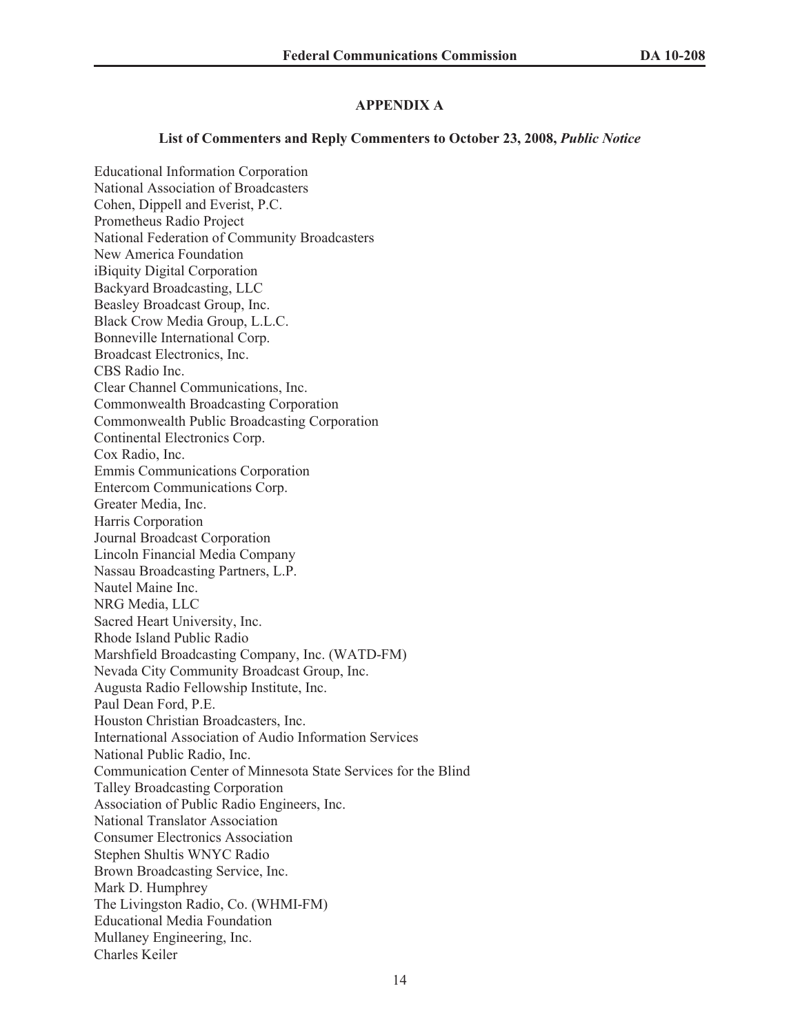# **APPENDIX A**

### **List of Commenters and Reply Commenters to October 23, 2008,** *Public Notice*

Educational Information Corporation National Association of Broadcasters Cohen, Dippell and Everist, P.C. Prometheus Radio Project National Federation of Community Broadcasters New America Foundation iBiquity Digital Corporation Backyard Broadcasting, LLC Beasley Broadcast Group, Inc. Black Crow Media Group, L.L.C. Bonneville International Corp. Broadcast Electronics, Inc. CBS Radio Inc. Clear Channel Communications, Inc. Commonwealth Broadcasting Corporation Commonwealth Public Broadcasting Corporation Continental Electronics Corp. Cox Radio, Inc. Emmis Communications Corporation Entercom Communications Corp. Greater Media, Inc. Harris Corporation Journal Broadcast Corporation Lincoln Financial Media Company Nassau Broadcasting Partners, L.P. Nautel Maine Inc. NRG Media, LLC Sacred Heart University, Inc. Rhode Island Public Radio Marshfield Broadcasting Company, Inc. (WATD-FM) Nevada City Community Broadcast Group, Inc. Augusta Radio Fellowship Institute, Inc. Paul Dean Ford, P.E. Houston Christian Broadcasters, Inc. International Association of Audio Information Services National Public Radio, Inc. Communication Center of Minnesota State Services for the Blind Talley Broadcasting Corporation Association of Public Radio Engineers, Inc. National Translator Association Consumer Electronics Association Stephen Shultis WNYC Radio Brown Broadcasting Service, Inc. Mark D. Humphrey The Livingston Radio, Co. (WHMI-FM) Educational Media Foundation Mullaney Engineering, Inc. Charles Keiler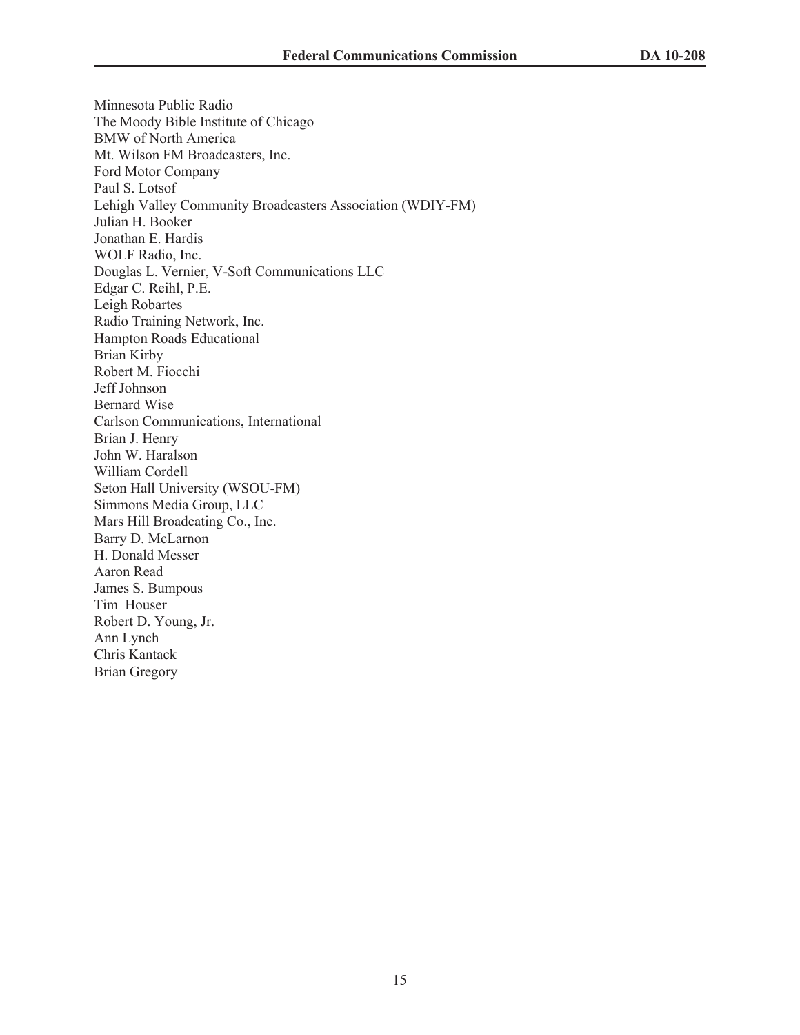Minnesota Public Radio The Moody Bible Institute of Chicago BMW of North America Mt. Wilson FM Broadcasters, Inc. Ford Motor Company Paul S. Lotsof Lehigh Valley Community Broadcasters Association (WDIY-FM) Julian H. Booker Jonathan E. Hardis WOLF Radio, Inc. Douglas L. Vernier, V-Soft Communications LLC Edgar C. Reihl, P.E. Leigh Robartes Radio Training Network, Inc. Hampton Roads Educational Brian Kirby Robert M. Fiocchi Jeff Johnson Bernard Wise Carlson Communications, International Brian J. Henry John W. Haralson William Cordell Seton Hall University (WSOU-FM) Simmons Media Group, LLC Mars Hill Broadcating Co., Inc. Barry D. McLarnon H. Donald Messer Aaron Read James S. Bumpous Tim Houser Robert D. Young, Jr. Ann Lynch Chris Kantack Brian Gregory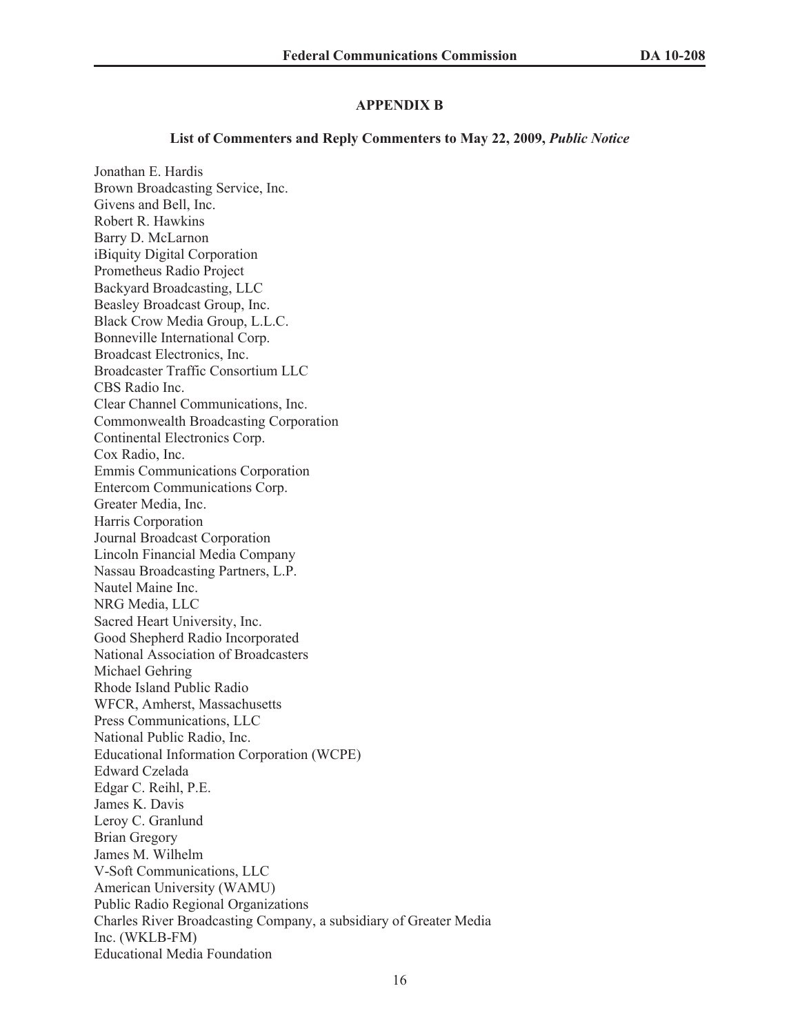### **APPENDIX B**

### **List of Commenters and Reply Commenters to May 22, 2009,** *Public Notice*

Jonathan E. Hardis Brown Broadcasting Service, Inc. Givens and Bell, Inc. Robert R. Hawkins Barry D. McLarnon iBiquity Digital Corporation Prometheus Radio Project Backyard Broadcasting, LLC Beasley Broadcast Group, Inc. Black Crow Media Group, L.L.C. Bonneville International Corp. Broadcast Electronics, Inc. Broadcaster Traffic Consortium LLC CBS Radio Inc. Clear Channel Communications, Inc. Commonwealth Broadcasting Corporation Continental Electronics Corp. Cox Radio, Inc. Emmis Communications Corporation Entercom Communications Corp. Greater Media, Inc. Harris Corporation Journal Broadcast Corporation Lincoln Financial Media Company Nassau Broadcasting Partners, L.P. Nautel Maine Inc. NRG Media, LLC Sacred Heart University, Inc. Good Shepherd Radio Incorporated National Association of Broadcasters Michael Gehring Rhode Island Public Radio WFCR, Amherst, Massachusetts Press Communications, LLC National Public Radio, Inc. Educational Information Corporation (WCPE) Edward Czelada Edgar C. Reihl, P.E. James K. Davis Leroy C. Granlund Brian Gregory James M. Wilhelm V-Soft Communications, LLC American University (WAMU) Public Radio Regional Organizations Charles River Broadcasting Company, a subsidiary of Greater Media Inc. (WKLB-FM) Educational Media Foundation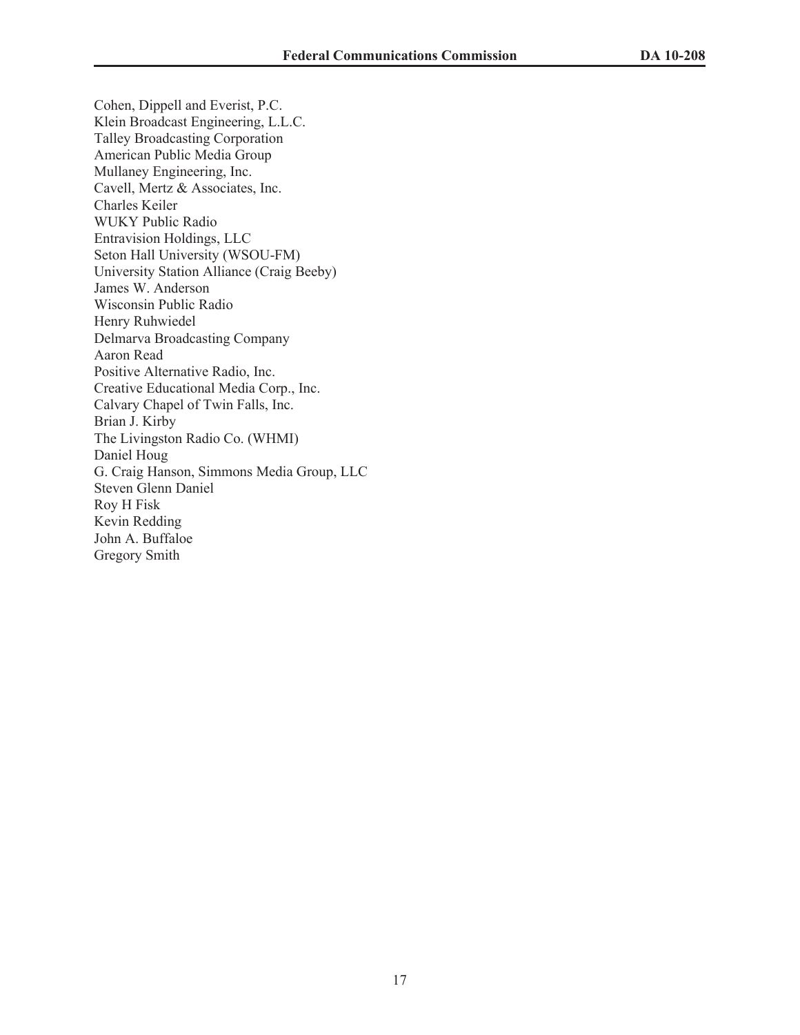Cohen, Dippell and Everist, P.C. Klein Broadcast Engineering, L.L.C. Talley Broadcasting Corporation American Public Media Group Mullaney Engineering, Inc. Cavell, Mertz & Associates, Inc. Charles Keiler WUKY Public Radio Entravision Holdings, LLC Seton Hall University (WSOU-FM) University Station Alliance (Craig Beeby) James W. Anderson Wisconsin Public Radio Henry Ruhwiedel Delmarva Broadcasting Company Aaron Read Positive Alternative Radio, Inc. Creative Educational Media Corp., Inc. Calvary Chapel of Twin Falls, Inc. Brian J. Kirby The Livingston Radio Co. (WHMI) Daniel Houg G. Craig Hanson, Simmons Media Group, LLC Steven Glenn Daniel Roy H Fisk Kevin Redding John A. Buffaloe Gregory Smith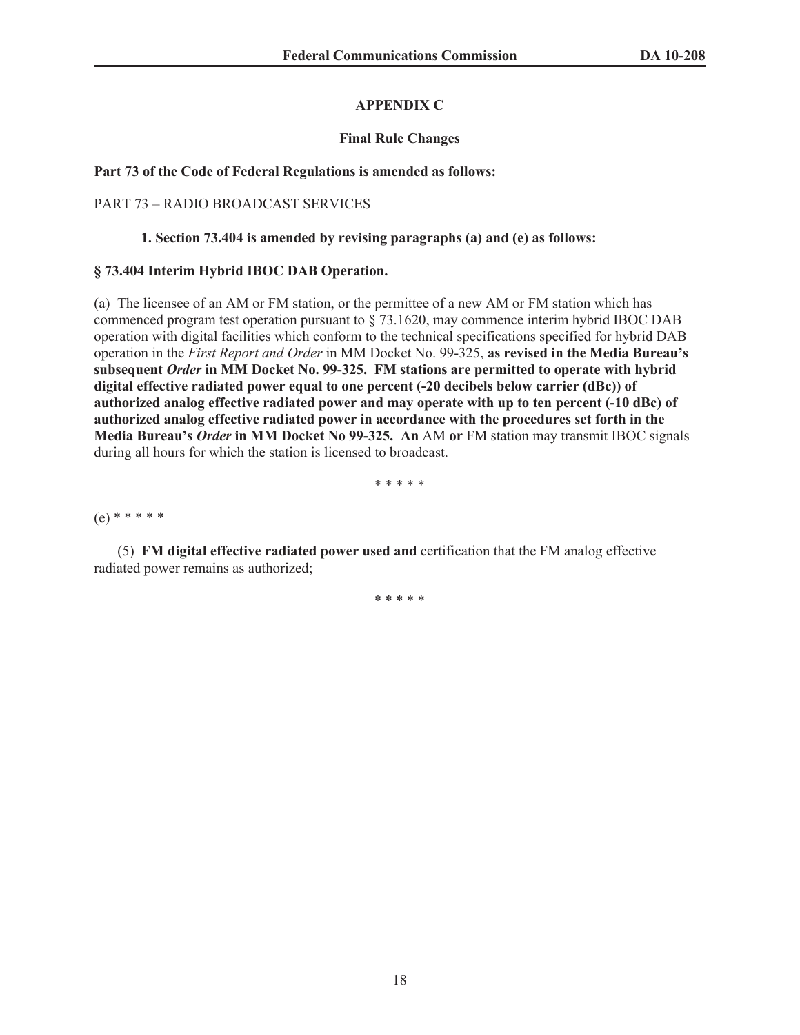# **APPENDIX C**

# **Final Rule Changes**

# **Part 73 of the Code of Federal Regulations is amended as follows:**

# PART 73 – RADIO BROADCAST SERVICES

# **1. Section 73.404 is amended by revising paragraphs (a) and (e) as follows:**

# **§ 73.404 Interim Hybrid IBOC DAB Operation.**

(a) The licensee of an AM or FM station, or the permittee of a new AM or FM station which has commenced program test operation pursuant to § 73.1620, may commence interim hybrid IBOC DAB operation with digital facilities which conform to the technical specifications specified for hybrid DAB operation in the *First Report and Order* in MM Docket No. 99-325, **as revised in the Media Bureau's subsequent** *Order* **in MM Docket No. 99-325. FM stations are permitted to operate with hybrid digital effective radiated power equal to one percent (-20 decibels below carrier (dBc)) of authorized analog effective radiated power and may operate with up to ten percent (-10 dBc) of authorized analog effective radiated power in accordance with the procedures set forth in the Media Bureau's** *Order* **in MM Docket No 99-325. An** AM **or** FM station may transmit IBOC signals during all hours for which the station is licensed to broadcast.

\* \* \* \* \*

(e) \* \* \* \* \*

(5) **FM digital effective radiated power used and** certification that the FM analog effective radiated power remains as authorized;

\* \* \* \* \*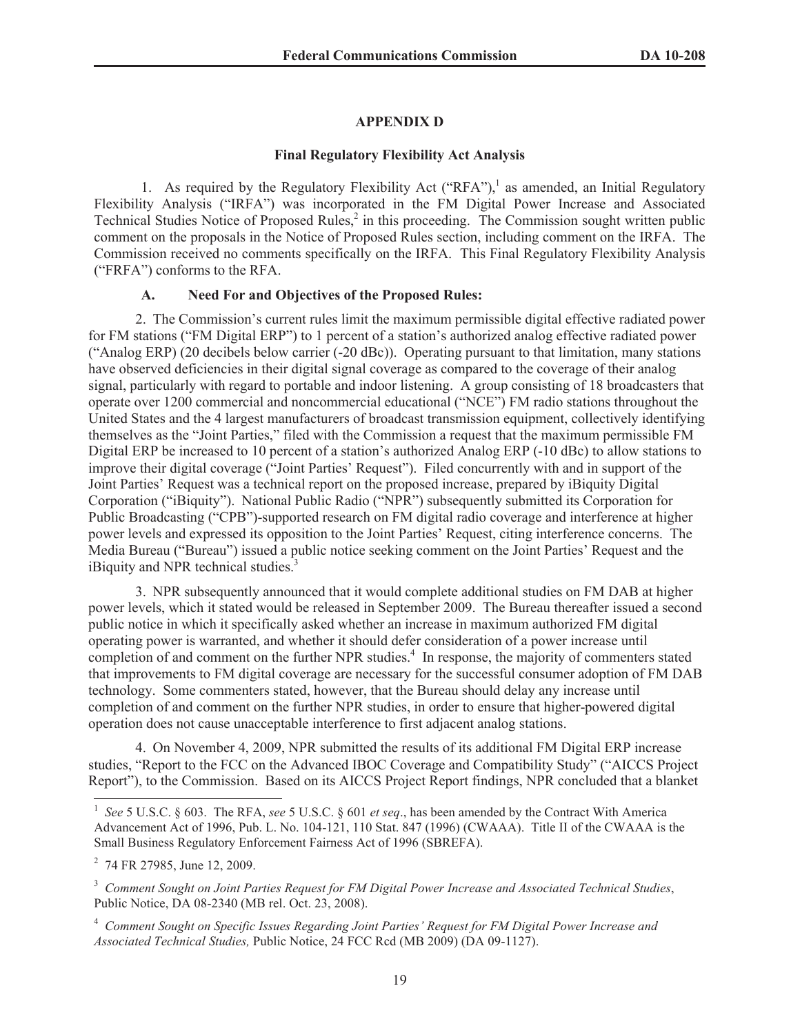### **APPENDIX D**

### **Final Regulatory Flexibility Act Analysis**

1. As required by the Regulatory Flexibility Act ("RFA"),<sup>1</sup> as amended, an Initial Regulatory Flexibility Analysis ("IRFA") was incorporated in the FM Digital Power Increase and Associated Technical Studies Notice of Proposed Rules,<sup>2</sup> in this proceeding. The Commission sought written public comment on the proposals in the Notice of Proposed Rules section, including comment on the IRFA. The Commission received no comments specifically on the IRFA. This Final Regulatory Flexibility Analysis ("FRFA") conforms to the RFA.

## **A. Need For and Objectives of the Proposed Rules:**

2. The Commission's current rules limit the maximum permissible digital effective radiated power for FM stations ("FM Digital ERP") to 1 percent of a station's authorized analog effective radiated power ("Analog ERP) (20 decibels below carrier (-20 dBc)). Operating pursuant to that limitation, many stations have observed deficiencies in their digital signal coverage as compared to the coverage of their analog signal, particularly with regard to portable and indoor listening. A group consisting of 18 broadcasters that operate over 1200 commercial and noncommercial educational ("NCE") FM radio stations throughout the United States and the 4 largest manufacturers of broadcast transmission equipment, collectively identifying themselves as the "Joint Parties," filed with the Commission a request that the maximum permissible FM Digital ERP be increased to 10 percent of a station's authorized Analog ERP (-10 dBc) to allow stations to improve their digital coverage ("Joint Parties' Request"). Filed concurrently with and in support of the Joint Parties' Request was a technical report on the proposed increase, prepared by iBiquity Digital Corporation ("iBiquity"). National Public Radio ("NPR") subsequently submitted its Corporation for Public Broadcasting ("CPB")-supported research on FM digital radio coverage and interference at higher power levels and expressed its opposition to the Joint Parties' Request, citing interference concerns. The Media Bureau ("Bureau") issued a public notice seeking comment on the Joint Parties' Request and the iBiquity and NPR technical studies.<sup>3</sup>

3. NPR subsequently announced that it would complete additional studies on FM DAB at higher power levels, which it stated would be released in September 2009. The Bureau thereafter issued a second public notice in which it specifically asked whether an increase in maximum authorized FM digital operating power is warranted, and whether it should defer consideration of a power increase until completion of and comment on the further NPR studies.<sup>4</sup> In response, the majority of commenters stated that improvements to FM digital coverage are necessary for the successful consumer adoption of FM DAB technology. Some commenters stated, however, that the Bureau should delay any increase until completion of and comment on the further NPR studies, in order to ensure that higher-powered digital operation does not cause unacceptable interference to first adjacent analog stations.

4. On November 4, 2009, NPR submitted the results of its additional FM Digital ERP increase studies, "Report to the FCC on the Advanced IBOC Coverage and Compatibility Study" ("AICCS Project Report"), to the Commission. Based on its AICCS Project Report findings, NPR concluded that a blanket

<sup>1</sup> *See* 5 U.S.C. § 603. The RFA, *see* 5 U.S.C. § 601 *et seq*., has been amended by the Contract With America Advancement Act of 1996, Pub. L. No. 104-121, 110 Stat. 847 (1996) (CWAAA). Title II of the CWAAA is the Small Business Regulatory Enforcement Fairness Act of 1996 (SBREFA).

<sup>&</sup>lt;sup>2</sup> 74 FR 27985, June 12, 2009.

<sup>3</sup> *Comment Sought on Joint Parties Request for FM Digital Power Increase and Associated Technical Studies*, Public Notice, DA 08-2340 (MB rel. Oct. 23, 2008).

<sup>4</sup> *Comment Sought on Specific Issues Regarding Joint Parties' Request for FM Digital Power Increase and Associated Technical Studies,* Public Notice, 24 FCC Rcd (MB 2009) (DA 09-1127).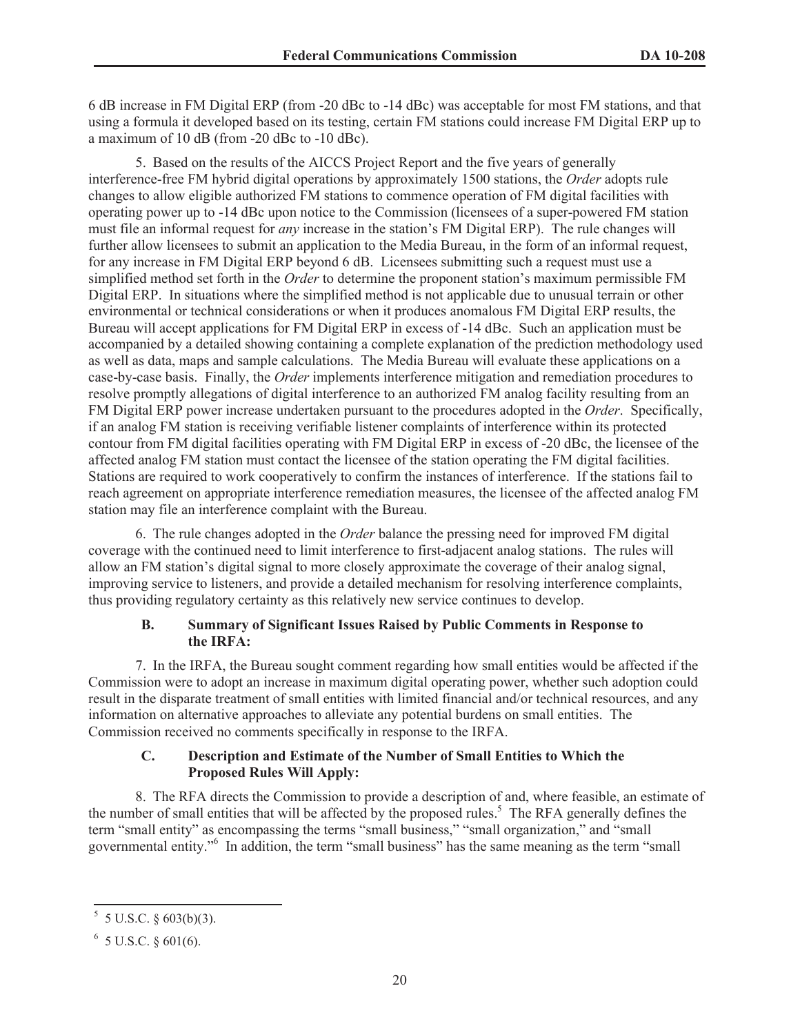6 dB increase in FM Digital ERP (from -20 dBc to -14 dBc) was acceptable for most FM stations, and that using a formula it developed based on its testing, certain FM stations could increase FM Digital ERP up to a maximum of 10 dB (from -20 dBc to -10 dBc).

5. Based on the results of the AICCS Project Report and the five years of generally interference-free FM hybrid digital operations by approximately 1500 stations, the *Order* adopts rule changes to allow eligible authorized FM stations to commence operation of FM digital facilities with operating power up to -14 dBc upon notice to the Commission (licensees of a super-powered FM station must file an informal request for *any* increase in the station's FM Digital ERP). The rule changes will further allow licensees to submit an application to the Media Bureau, in the form of an informal request, for any increase in FM Digital ERP beyond 6 dB. Licensees submitting such a request must use a simplified method set forth in the *Order* to determine the proponent station's maximum permissible FM Digital ERP. In situations where the simplified method is not applicable due to unusual terrain or other environmental or technical considerations or when it produces anomalous FM Digital ERP results, the Bureau will accept applications for FM Digital ERP in excess of -14 dBc. Such an application must be accompanied by a detailed showing containing a complete explanation of the prediction methodology used as well as data, maps and sample calculations. The Media Bureau will evaluate these applications on a case-by-case basis. Finally, the *Order* implements interference mitigation and remediation procedures to resolve promptly allegations of digital interference to an authorized FM analog facility resulting from an FM Digital ERP power increase undertaken pursuant to the procedures adopted in the *Order*. Specifically, if an analog FM station is receiving verifiable listener complaints of interference within its protected contour from FM digital facilities operating with FM Digital ERP in excess of -20 dBc, the licensee of the affected analog FM station must contact the licensee of the station operating the FM digital facilities. Stations are required to work cooperatively to confirm the instances of interference. If the stations fail to reach agreement on appropriate interference remediation measures, the licensee of the affected analog FM station may file an interference complaint with the Bureau.

6. The rule changes adopted in the *Order* balance the pressing need for improved FM digital coverage with the continued need to limit interference to first-adjacent analog stations. The rules will allow an FM station's digital signal to more closely approximate the coverage of their analog signal, improving service to listeners, and provide a detailed mechanism for resolving interference complaints, thus providing regulatory certainty as this relatively new service continues to develop.

## **B. Summary of Significant Issues Raised by Public Comments in Response to the IRFA:**

7. In the IRFA, the Bureau sought comment regarding how small entities would be affected if the Commission were to adopt an increase in maximum digital operating power, whether such adoption could result in the disparate treatment of small entities with limited financial and/or technical resources, and any information on alternative approaches to alleviate any potential burdens on small entities. The Commission received no comments specifically in response to the IRFA.

# **C. Description and Estimate of the Number of Small Entities to Which the Proposed Rules Will Apply:**

8. The RFA directs the Commission to provide a description of and, where feasible, an estimate of the number of small entities that will be affected by the proposed rules.<sup>5</sup> The RFA generally defines the term "small entity" as encompassing the terms "small business," "small organization," and "small governmental entity."<sup>6</sup> In addition, the term "small business" has the same meaning as the term "small

 $5$  5 U.S.C. § 603(b)(3).

 $6\,$  5 U.S.C. § 601(6).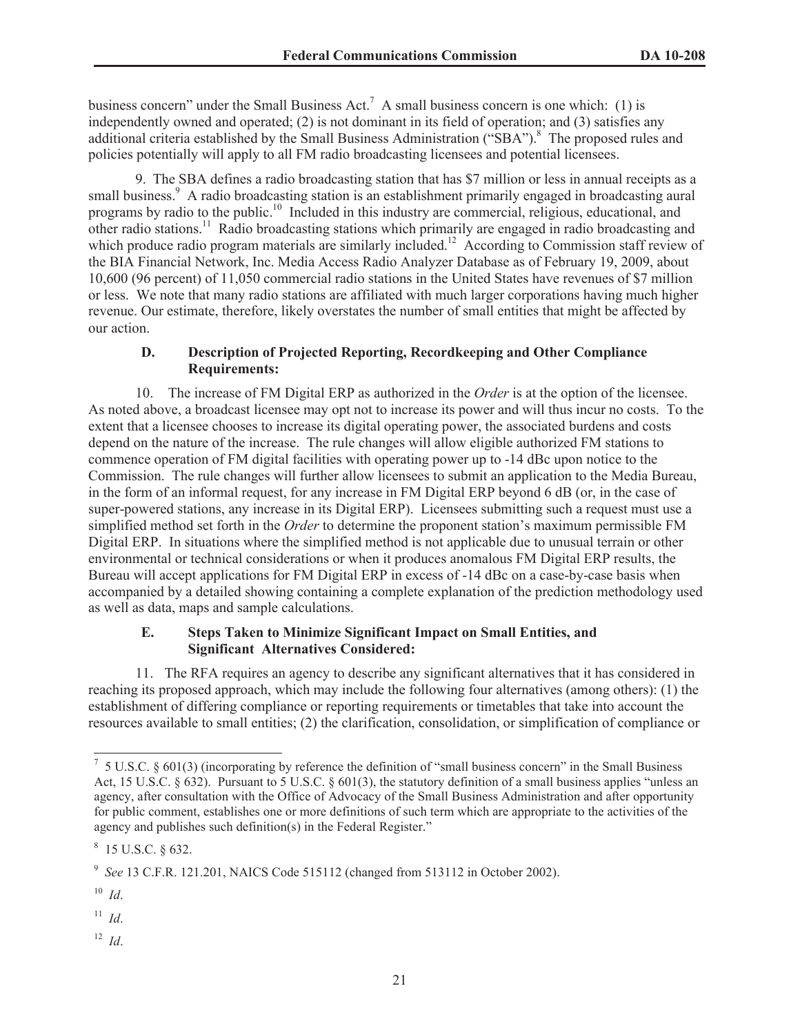business concern" under the Small Business Act.<sup>7</sup> A small business concern is one which: (1) is independently owned and operated; (2) is not dominant in its field of operation; and (3) satisfies any additional criteria established by the Small Business Administration ("SBA").<sup>8</sup> The proposed rules and policies potentially will apply to all FM radio broadcasting licensees and potential licensees.

9. The SBA defines a radio broadcasting station that has \$7 million or less in annual receipts as a small business.<sup>9</sup> A radio broadcasting station is an establishment primarily engaged in broadcasting aural programs by radio to the public.<sup>10</sup> Included in this industry are commercial, religious, educational, and other radio stations.<sup>11</sup> Radio broadcasting stations which primarily are engaged in radio broadcasting and which produce radio program materials are similarly included.<sup>12</sup> According to Commission staff review of the BIA Financial Network, Inc. Media Access Radio Analyzer Database as of February 19, 2009, about 10,600 (96 percent) of 11,050 commercial radio stations in the United States have revenues of \$7 million or less. We note that many radio stations are affiliated with much larger corporations having much higher revenue. Our estimate, therefore, likely overstates the number of small entities that might be affected by our action.

## **D. Description of Projected Reporting, Recordkeeping and Other Compliance Requirements:**

10. The increase of FM Digital ERP as authorized in the *Order* is at the option of the licensee. As noted above, a broadcast licensee may opt not to increase its power and will thus incur no costs. To the extent that a licensee chooses to increase its digital operating power, the associated burdens and costs depend on the nature of the increase. The rule changes will allow eligible authorized FM stations to commence operation of FM digital facilities with operating power up to -14 dBc upon notice to the Commission. The rule changes will further allow licensees to submit an application to the Media Bureau, in the form of an informal request, for any increase in FM Digital ERP beyond 6 dB (or, in the case of super-powered stations, any increase in its Digital ERP). Licensees submitting such a request must use a simplified method set forth in the *Order* to determine the proponent station's maximum permissible FM Digital ERP. In situations where the simplified method is not applicable due to unusual terrain or other environmental or technical considerations or when it produces anomalous FM Digital ERP results, the Bureau will accept applications for FM Digital ERP in excess of -14 dBc on a case-by-case basis when accompanied by a detailed showing containing a complete explanation of the prediction methodology used as well as data, maps and sample calculations.

## **E. Steps Taken to Minimize Significant Impact on Small Entities, and Significant Alternatives Considered:**

11. The RFA requires an agency to describe any significant alternatives that it has considered in reaching its proposed approach, which may include the following four alternatives (among others): (1) the establishment of differing compliance or reporting requirements or timetables that take into account the resources available to small entities; (2) the clarification, consolidation, or simplification of compliance or

<sup>12</sup> *Id*.

 $7\,$  5 U.S.C. § 601(3) (incorporating by reference the definition of "small business concern" in the Small Business Act, 15 U.S.C. § 632). Pursuant to 5 U.S.C. § 601(3), the statutory definition of a small business applies "unless an agency, after consultation with the Office of Advocacy of the Small Business Administration and after opportunity for public comment, establishes one or more definitions of such term which are appropriate to the activities of the agency and publishes such definition(s) in the Federal Register."

 $8$  15 U.S.C. § 632.

<sup>9</sup> *See* 13 C.F.R. 121.201, NAICS Code 515112 (changed from 513112 in October 2002).

<sup>10</sup> *Id*.

<sup>11</sup> *Id*.